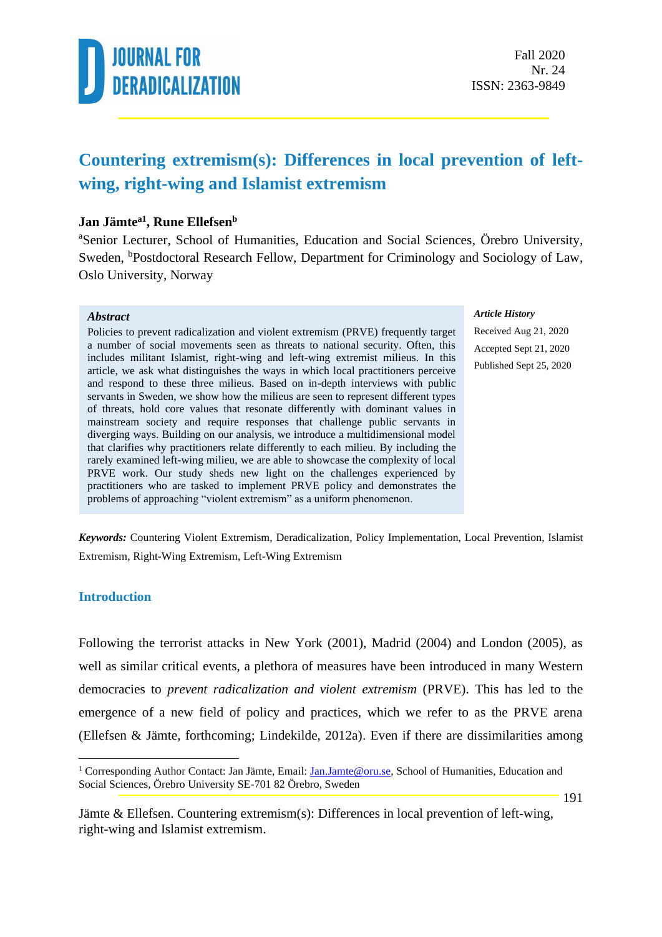

### **Countering extremism(s): Differences in local prevention of leftwing, right-wing and Islamist extremism**

#### **Jan Jämtea1 , Rune Ellefsen<sup>b</sup>**

<sup>a</sup>Senior Lecturer, School of Humanities, Education and Social Sciences, Örebro University, Sweden, <sup>b</sup>Postdoctoral Research Fellow, Department for Criminology and Sociology of Law, Oslo University, Norway

#### *Abstract*

Policies to prevent radicalization and violent extremism (PRVE) frequently target a number of social movements seen as threats to national security. Often, this includes militant Islamist, right-wing and left-wing extremist milieus. In this article, we ask what distinguishes the ways in which local practitioners perceive and respond to these three milieus. Based on in-depth interviews with public servants in Sweden, we show how the milieus are seen to represent different types of threats, hold core values that resonate differently with dominant values in mainstream society and require responses that challenge public servants in diverging ways. Building on our analysis, we introduce a multidimensional model that clarifies why practitioners relate differently to each milieu. By including the rarely examined left-wing milieu, we are able to showcase the complexity of local PRVE work. Our study sheds new light on the challenges experienced by practitioners who are tasked to implement PRVE policy and demonstrates the problems of approaching "violent extremism" as a uniform phenomenon.

#### *Article History*

Received Aug 21, 2020 Accepted Sept 21, 2020 Published Sept 25, 2020

*Keywords:* Countering Violent Extremism, Deradicalization, Policy Implementation, Local Prevention, Islamist Extremism, Right-Wing Extremism, Left-Wing Extremism

#### **Introduction**

Following the terrorist attacks in New York (2001), Madrid (2004) and London (2005), as well as similar critical events, a plethora of measures have been introduced in many Western democracies to *prevent radicalization and violent extremism* (PRVE). This has led to the emergence of a new field of policy and practices, which we refer to as the PRVE arena (Ellefsen & Jämte, forthcoming; Lindekilde, 2012a). Even if there are dissimilarities among

<sup>&</sup>lt;sup>1</sup> Corresponding Author Contact: Jan Jämte, Email: [Jan.Jamte@oru.se,](mailto:Jan.Jamte@oru.se) School of Humanities, Education and Social Sciences, Örebro University SE-701 82 Örebro, Sweden

Jämte & Ellefsen. Countering extremism(s): Differences in local prevention of left-wing, right-wing and Islamist extremism.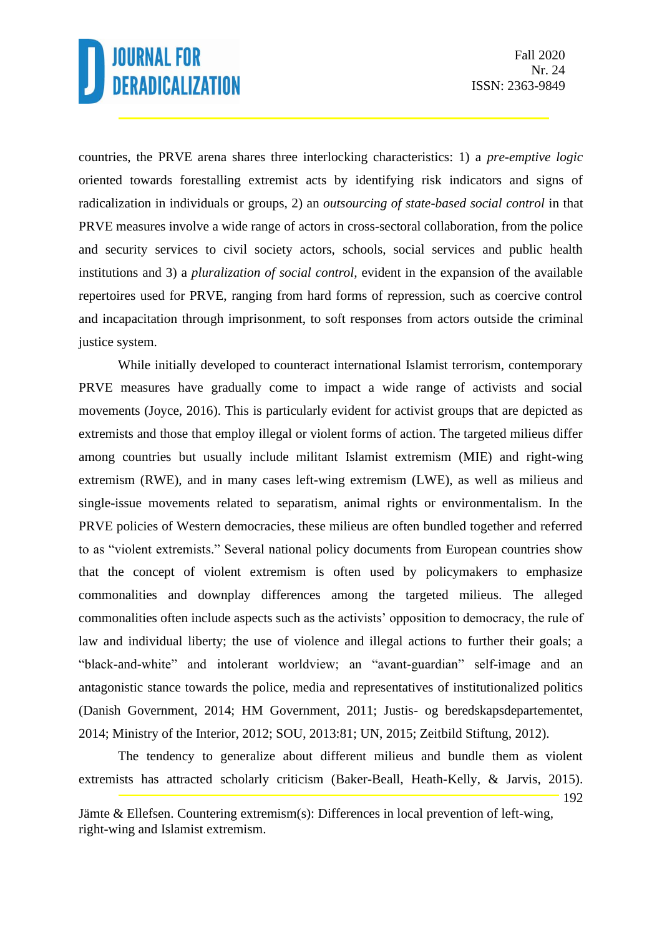countries, the PRVE arena shares three interlocking characteristics: 1) a *pre-emptive logic* oriented towards forestalling extremist acts by identifying risk indicators and signs of radicalization in individuals or groups, 2) an *outsourcing of state-based social control* in that PRVE measures involve a wide range of actors in cross-sectoral collaboration, from the police and security services to civil society actors, schools, social services and public health institutions and 3) a *pluralization of social control,* evident in the expansion of the available repertoires used for PRVE, ranging from hard forms of repression, such as coercive control and incapacitation through imprisonment, to soft responses from actors outside the criminal justice system.

While initially developed to counteract international Islamist terrorism, contemporary PRVE measures have gradually come to impact a wide range of activists and social movements (Joyce, 2016). This is particularly evident for activist groups that are depicted as extremists and those that employ illegal or violent forms of action. The targeted milieus differ among countries but usually include militant Islamist extremism (MIE) and right-wing extremism (RWE), and in many cases left-wing extremism (LWE), as well as milieus and single-issue movements related to separatism, animal rights or environmentalism. In the PRVE policies of Western democracies, these milieus are often bundled together and referred to as "violent extremists." Several national policy documents from European countries show that the concept of violent extremism is often used by policymakers to emphasize commonalities and downplay differences among the targeted milieus. The alleged commonalities often include aspects such as the activists' opposition to democracy, the rule of law and individual liberty; the use of violence and illegal actions to further their goals; a "black-and-white" and intolerant worldview; an "avant-guardian" self-image and an antagonistic stance towards the police, media and representatives of institutionalized politics (Danish Government, 2014; HM Government, 2011; Justis- og beredskapsdepartementet, 2014; Ministry of the Interior, 2012; SOU, 2013:81; UN, 2015; Zeitbild Stiftung, 2012).

192 The tendency to generalize about different milieus and bundle them as violent extremists has attracted scholarly criticism (Baker-Beall, Heath-Kelly, & Jarvis, 2015).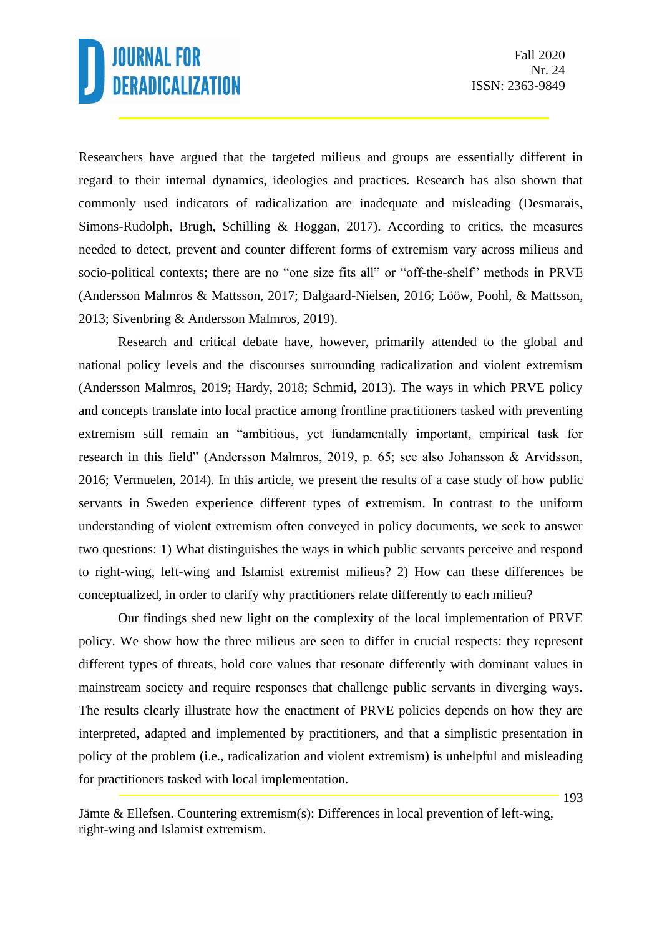Researchers have argued that the targeted milieus and groups are essentially different in regard to their internal dynamics, ideologies and practices. Research has also shown that commonly used indicators of radicalization are inadequate and misleading (Desmarais, Simons-Rudolph, Brugh, Schilling & Hoggan, 2017). According to critics, the measures needed to detect, prevent and counter different forms of extremism vary across milieus and socio-political contexts; there are no "one size fits all" or "off-the-shelf" methods in PRVE (Andersson Malmros & Mattsson, 2017; Dalgaard-Nielsen, 2016; Lööw, Poohl, & Mattsson, 2013; Sivenbring & Andersson Malmros, 2019).

Research and critical debate have, however, primarily attended to the global and national policy levels and the discourses surrounding radicalization and violent extremism (Andersson Malmros, 2019; Hardy, 2018; Schmid, 2013). The ways in which PRVE policy and concepts translate into local practice among frontline practitioners tasked with preventing extremism still remain an "ambitious, yet fundamentally important, empirical task for research in this field" (Andersson Malmros, 2019, p. 65; see also Johansson & Arvidsson, 2016; Vermuelen, 2014). In this article, we present the results of a case study of how public servants in Sweden experience different types of extremism. In contrast to the uniform understanding of violent extremism often conveyed in policy documents, we seek to answer two questions: 1) What distinguishes the ways in which public servants perceive and respond to right-wing, left-wing and Islamist extremist milieus? 2) How can these differences be conceptualized, in order to clarify why practitioners relate differently to each milieu?

Our findings shed new light on the complexity of the local implementation of PRVE policy. We show how the three milieus are seen to differ in crucial respects: they represent different types of threats, hold core values that resonate differently with dominant values in mainstream society and require responses that challenge public servants in diverging ways. The results clearly illustrate how the enactment of PRVE policies depends on how they are interpreted, adapted and implemented by practitioners, and that a simplistic presentation in policy of the problem (i.e., radicalization and violent extremism) is unhelpful and misleading for practitioners tasked with local implementation.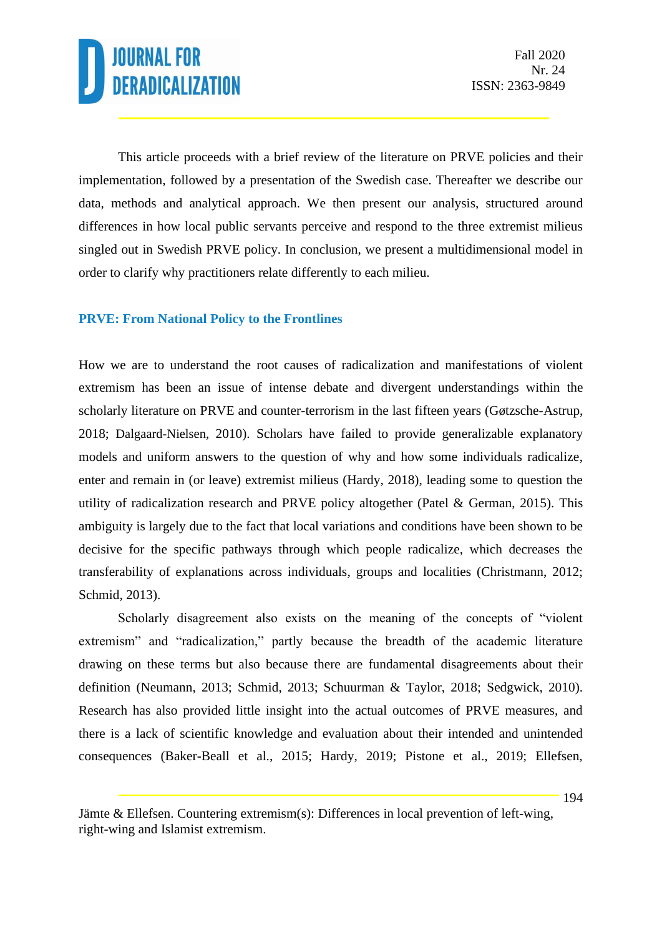This article proceeds with a brief review of the literature on PRVE policies and their implementation, followed by a presentation of the Swedish case. Thereafter we describe our data, methods and analytical approach. We then present our analysis, structured around differences in how local public servants perceive and respond to the three extremist milieus singled out in Swedish PRVE policy. In conclusion, we present a multidimensional model in order to clarify why practitioners relate differently to each milieu.

### **PRVE: From National Policy to the Frontlines**

How we are to understand the root causes of radicalization and manifestations of violent extremism has been an issue of intense debate and divergent understandings within the scholarly literature on PRVE and counter-terrorism in the last fifteen years (Gøtzsche-Astrup, 2018; [Dalgaard-Nielsen,](https://www.tandfonline.com/author/Dalgaard-Nielsen%2C+Anja) 2010). Scholars have failed to provide generalizable explanatory models and uniform answers to the question of why and how some individuals radicalize, enter and remain in (or leave) extremist milieus (Hardy, 2018), leading some to question the utility of radicalization research and PRVE policy altogether (Patel & German, 2015). This ambiguity is largely due to the fact that local variations and conditions have been shown to be decisive for the specific pathways through which people radicalize, which decreases the transferability of explanations across individuals, groups and localities (Christmann, 2012; Schmid, 2013).

Scholarly disagreement also exists on the meaning of the concepts of "violent extremism" and "radicalization," partly because the breadth of the academic literature drawing on these terms but also because there are fundamental disagreements about their definition (Neumann, 2013; Schmid, 2013; Schuurman & Taylor, 2018; Sedgwick, 2010). Research has also provided little insight into the actual outcomes of PRVE measures, and there is a lack of scientific knowledge and evaluation about their intended and unintended consequences (Baker-Beall et al., 2015; Hardy, 2019; Pistone et al., 2019; Ellefsen,

Jämte & Ellefsen. Countering extremism(s): Differences in local prevention of left-wing, right-wing and Islamist extremism.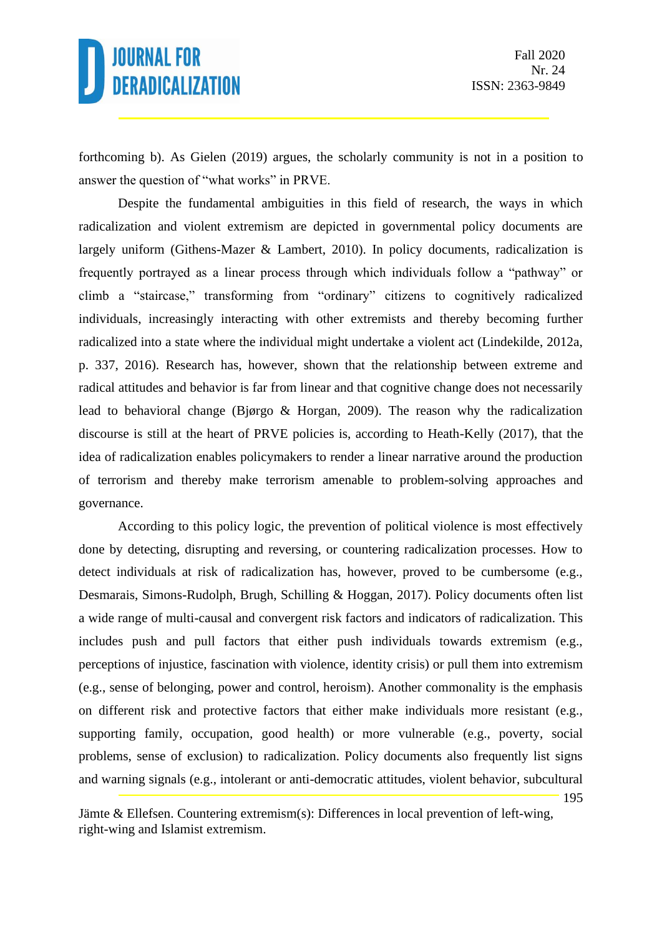195

forthcoming b). As Gielen (2019) argues, the scholarly community is not in a position to answer the question of "what works" in PRVE.

Despite the fundamental ambiguities in this field of research, the ways in which radicalization and violent extremism are depicted in governmental policy documents are largely uniform (Githens-Mazer & Lambert, 2010). In policy documents, radicalization is frequently portrayed as a linear process through which individuals follow a "pathway" or climb a "staircase," transforming from "ordinary" citizens to cognitively radicalized individuals, increasingly interacting with other extremists and thereby becoming further radicalized into a state where the individual might undertake a violent act (Lindekilde, 2012a, p. 337, 2016). Research has, however, shown that the relationship between extreme and radical attitudes and behavior is far from linear and that cognitive change does not necessarily lead to behavioral change (Bjørgo & Horgan, 2009). The reason why the radicalization discourse is still at the heart of PRVE policies is, according to Heath-Kelly (2017), that the idea of radicalization enables policymakers to render a linear narrative around the production of terrorism and thereby make terrorism amenable to problem-solving approaches and governance.

According to this policy logic, the prevention of political violence is most effectively done by detecting, disrupting and reversing, or countering radicalization processes. How to detect individuals at risk of radicalization has, however, proved to be cumbersome (e.g., Desmarais, Simons-Rudolph, Brugh, Schilling & Hoggan, 2017). Policy documents often list a wide range of multi-causal and convergent risk factors and indicators of radicalization. This includes push and pull factors that either push individuals towards extremism (e.g., perceptions of injustice, fascination with violence, identity crisis) or pull them into extremism (e.g., sense of belonging, power and control, heroism). Another commonality is the emphasis on different risk and protective factors that either make individuals more resistant (e.g., supporting family, occupation, good health) or more vulnerable (e.g., poverty, social problems, sense of exclusion) to radicalization. Policy documents also frequently list signs and warning signals (e.g., intolerant or anti-democratic attitudes, violent behavior, subcultural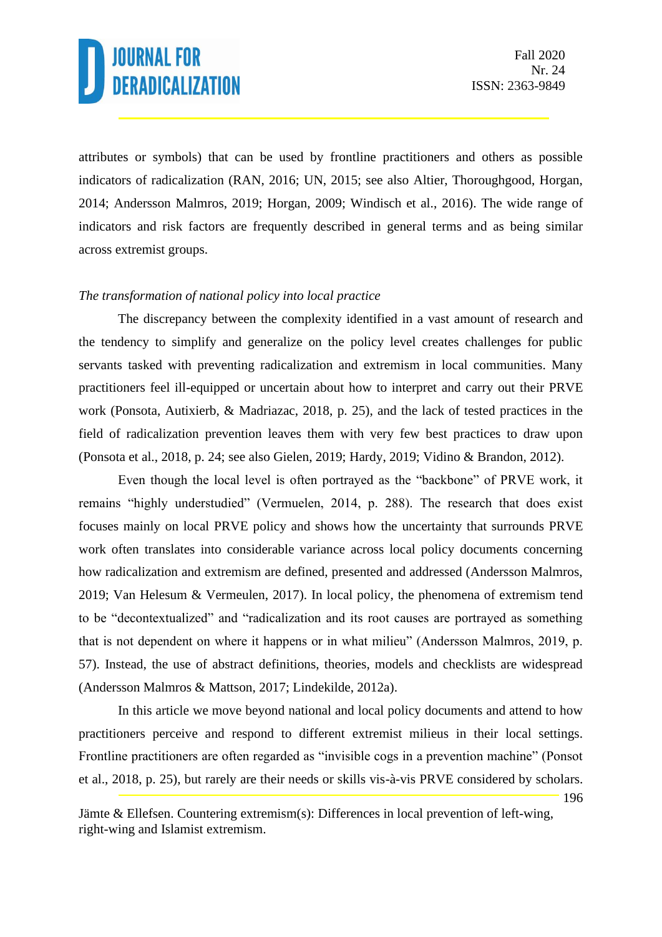attributes or symbols) that can be used by frontline practitioners and others as possible indicators of radicalization (RAN, 2016; UN, 2015; see also Altier, Thoroughgood, Horgan, 2014; Andersson Malmros, 2019; Horgan, 2009; Windisch et al., 2016). The wide range of indicators and risk factors are frequently described in general terms and as being similar across extremist groups.

#### *The transformation of national policy into local practice*

The discrepancy between the complexity identified in a vast amount of research and the tendency to simplify and generalize on the policy level creates challenges for public servants tasked with preventing radicalization and extremism in local communities. Many practitioners feel ill-equipped or uncertain about how to interpret and carry out their PRVE work (Ponsota, Autixierb, & Madriazac, 2018, p. 25), and the lack of tested practices in the field of radicalization prevention leaves them with very few best practices to draw upon (Ponsota et al., 2018, p. 24; see also Gielen, 2019; Hardy, 2019; Vidino & Brandon, 2012).

Even though the local level is often portrayed as the "backbone" of PRVE work, it remains "highly understudied" (Vermuelen, 2014, p. 288). The research that does exist focuses mainly on local PRVE policy and shows how the uncertainty that surrounds PRVE work often translates into considerable variance across local policy documents concerning how radicalization and extremism are defined, presented and addressed (Andersson Malmros, 2019; Van Helesum & Vermeulen, 2017). In local policy, the phenomena of extremism tend to be "decontextualized" and "radicalization and its root causes are portrayed as something that is not dependent on where it happens or in what milieu" (Andersson Malmros, 2019, p. 57). Instead, the use of abstract definitions, theories, models and checklists are widespread (Andersson Malmros & Mattson, 2017; Lindekilde, 2012a).

196 In this article we move beyond national and local policy documents and attend to how practitioners perceive and respond to different extremist milieus in their local settings. Frontline practitioners are often regarded as "invisible cogs in a prevention machine" (Ponsot et al., 2018, p. 25), but rarely are their needs or skills vis-à-vis PRVE considered by scholars.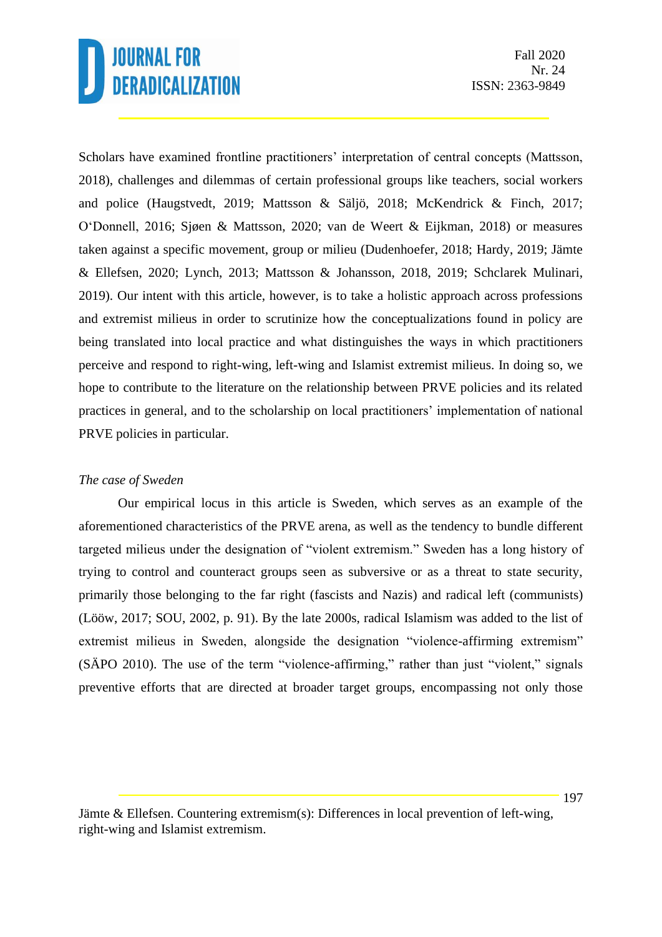Scholars have examined frontline practitioners' interpretation of central concepts (Mattsson, 2018), challenges and dilemmas of certain professional groups like teachers, social workers and police (Haugstvedt, 2019; Mattsson & Säljö, 2018; McKendrick & Finch, 2017; O'Donnell, 2016; Sjøen & Mattsson, 2020; van de Weert & Eijkman, 2018) or measures taken against a specific movement, group or milieu (Dudenhoefer, 2018; Hardy, 2019; Jämte & Ellefsen, 2020; Lynch, 2013; Mattsson & Johansson, 2018, 2019; Schclarek Mulinari, 2019). Our intent with this article, however, is to take a holistic approach across professions and extremist milieus in order to scrutinize how the conceptualizations found in policy are being translated into local practice and what distinguishes the ways in which practitioners perceive and respond to right-wing, left-wing and Islamist extremist milieus. In doing so, we hope to contribute to the literature on the relationship between PRVE policies and its related practices in general, and to the scholarship on local practitioners' implementation of national PRVE policies in particular.

### *The case of Sweden*

Our empirical locus in this article is Sweden, which serves as an example of the aforementioned characteristics of the PRVE arena, as well as the tendency to bundle different targeted milieus under the designation of "violent extremism." Sweden has a long history of trying to control and counteract groups seen as subversive or as a threat to state security, primarily those belonging to the far right (fascists and Nazis) and radical left (communists) (Lööw, 2017; SOU, 2002, p. 91). By the late 2000s, radical Islamism was added to the list of extremist milieus in Sweden, alongside the designation "violence-affirming extremism" (SÄPO 2010). The use of the term "violence-affirming," rather than just "violent," signals preventive efforts that are directed at broader target groups, encompassing not only those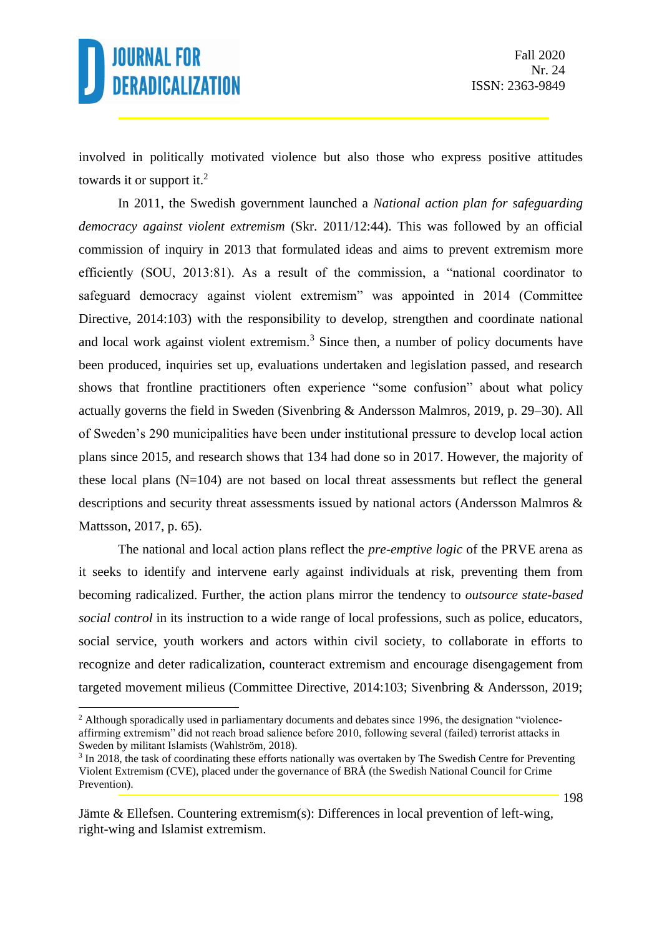involved in politically motivated violence but also those who express positive attitudes towards it or support it.<sup>2</sup>

In 2011, the Swedish government launched a *National action plan for safeguarding democracy against violent extremism* (Skr. 2011/12:44). This was followed by an official commission of inquiry in 2013 that formulated ideas and aims to prevent extremism more efficiently (SOU, 2013:81). As a result of the commission, a "national coordinator to safeguard democracy against violent extremism" was appointed in 2014 (Committee Directive, 2014:103) with the responsibility to develop, strengthen and coordinate national and local work against violent extremism. $3$  Since then, a number of policy documents have been produced, inquiries set up, evaluations undertaken and legislation passed, and research shows that frontline practitioners often experience "some confusion" about what policy actually governs the field in Sweden (Sivenbring & Andersson Malmros, 2019, p. 29–30). All of Sweden's 290 municipalities have been under institutional pressure to develop local action plans since 2015, and research shows that 134 had done so in 2017. However, the majority of these local plans  $(N=104)$  are not based on local threat assessments but reflect the general descriptions and security threat assessments issued by national actors (Andersson Malmros & Mattsson, 2017, p. 65).

The national and local action plans reflect the *pre-emptive logic* of the PRVE arena as it seeks to identify and intervene early against individuals at risk, preventing them from becoming radicalized. Further, the action plans mirror the tendency to *outsource state-based social control* in its instruction to a wide range of local professions, such as police, educators, social service, youth workers and actors within civil society, to collaborate in efforts to recognize and deter radicalization, counteract extremism and encourage disengagement from targeted movement milieus (Committee Directive, 2014:103; Sivenbring & Andersson, 2019;

<sup>&</sup>lt;sup>2</sup> Although sporadically used in parliamentary documents and debates since 1996, the designation "violenceaffirming extremism" did not reach broad salience before 2010, following several (failed) terrorist attacks in Sweden by militant Islamists (Wahlström, 2018).

<sup>&</sup>lt;sup>3</sup> In 2018, the task of coordinating these efforts nationally was overtaken by The Swedish Centre for Preventing Violent Extremism (CVE), placed under the governance of BRÅ (the Swedish National Council for Crime Prevention).

Jämte & Ellefsen. Countering extremism(s): Differences in local prevention of left-wing, right-wing and Islamist extremism.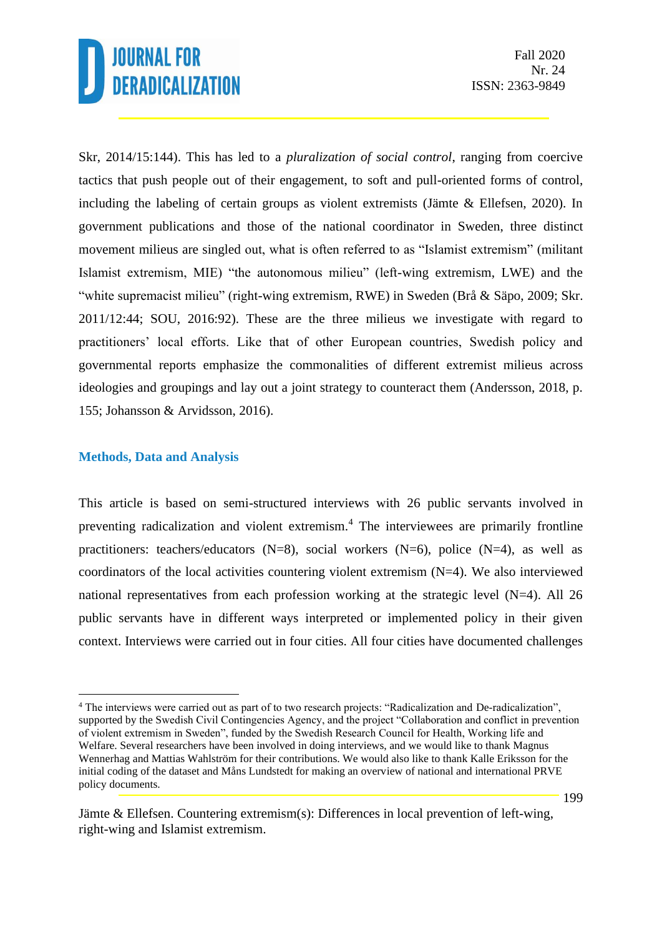Skr, 2014/15:144). This has led to a *pluralization of social control*, ranging from coercive tactics that push people out of their engagement, to soft and pull-oriented forms of control, including the labeling of certain groups as violent extremists (Jämte & Ellefsen, 2020). In government publications and those of the national coordinator in Sweden, three distinct movement milieus are singled out, what is often referred to as "Islamist extremism" (militant Islamist extremism, MIE) "the autonomous milieu" (left-wing extremism, LWE) and the "white supremacist milieu" (right-wing extremism, RWE) in Sweden (Brå & Säpo, 2009; Skr. 2011/12:44; SOU, 2016:92). These are the three milieus we investigate with regard to practitioners' local efforts. Like that of other European countries, Swedish policy and governmental reports emphasize the commonalities of different extremist milieus across ideologies and groupings and lay out a joint strategy to counteract them (Andersson, 2018, p. 155; Johansson & Arvidsson, 2016).

#### **Methods, Data and Analysis**

This article is based on semi-structured interviews with 26 public servants involved in preventing radicalization and violent extremism.<sup>4</sup> The interviewees are primarily frontline practitioners: teachers/educators  $(N=8)$ , social workers  $(N=6)$ , police  $(N=4)$ , as well as coordinators of the local activities countering violent extremism  $(N=4)$ . We also interviewed national representatives from each profession working at the strategic level (N=4). All 26 public servants have in different ways interpreted or implemented policy in their given context. Interviews were carried out in four cities. All four cities have documented challenges

<sup>4</sup> The interviews were carried out as part of to two research projects: "Radicalization and De-radicalization", supported by the Swedish Civil Contingencies Agency, and the project "Collaboration and conflict in prevention of violent extremism in Sweden", funded by the Swedish Research Council for Health, Working life and Welfare. Several researchers have been involved in doing interviews, and we would like to thank Magnus Wennerhag and Mattias Wahlström for their contributions. We would also like to thank Kalle Eriksson for the initial coding of the dataset and Måns Lundstedt for making an overview of national and international PRVE policy documents.

Jämte & Ellefsen. Countering extremism(s): Differences in local prevention of left-wing, right-wing and Islamist extremism.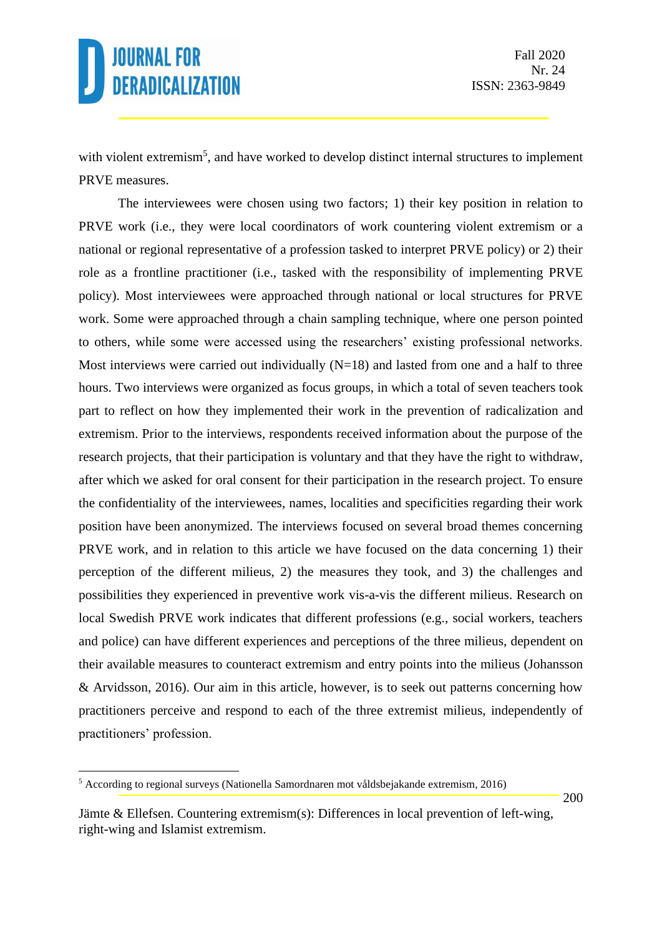with violent extremism<sup>5</sup>, and have worked to develop distinct internal structures to implement PRVE measures.

The interviewees were chosen using two factors; 1) their key position in relation to PRVE work (i.e., they were local coordinators of work countering violent extremism or a national or regional representative of a profession tasked to interpret PRVE policy) or 2) their role as a frontline practitioner (i.e., tasked with the responsibility of implementing PRVE policy). Most interviewees were approached through national or local structures for PRVE work. Some were approached through a chain sampling technique, where one person pointed to others, while some were accessed using the researchers' existing professional networks. Most interviews were carried out individually  $(N=18)$  and lasted from one and a half to three hours. Two interviews were organized as focus groups, in which a total of seven teachers took part to reflect on how they implemented their work in the prevention of radicalization and extremism. Prior to the interviews, respondents received information about the purpose of the research projects, that their participation is voluntary and that they have the right to withdraw, after which we asked for oral consent for their participation in the research project. To ensure the confidentiality of the interviewees, names, localities and specificities regarding their work position have been anonymized. The interviews focused on several broad themes concerning PRVE work, and in relation to this article we have focused on the data concerning 1) their perception of the different milieus, 2) the measures they took, and 3) the challenges and possibilities they experienced in preventive work vis-a-vis the different milieus. Research on local Swedish PRVE work indicates that different professions (e.g., social workers, teachers and police) can have different experiences and perceptions of the three milieus, dependent on their available measures to counteract extremism and entry points into the milieus (Johansson & Arvidsson, 2016). Our aim in this article, however, is to seek out patterns concerning how practitioners perceive and respond to each of the three extremist milieus, independently of practitioners' profession.

<sup>5</sup> According to regional surveys (Nationella Samordnaren mot våldsbejakande extremism, 2016)

Jämte & Ellefsen. Countering extremism(s): Differences in local prevention of left-wing, right-wing and Islamist extremism.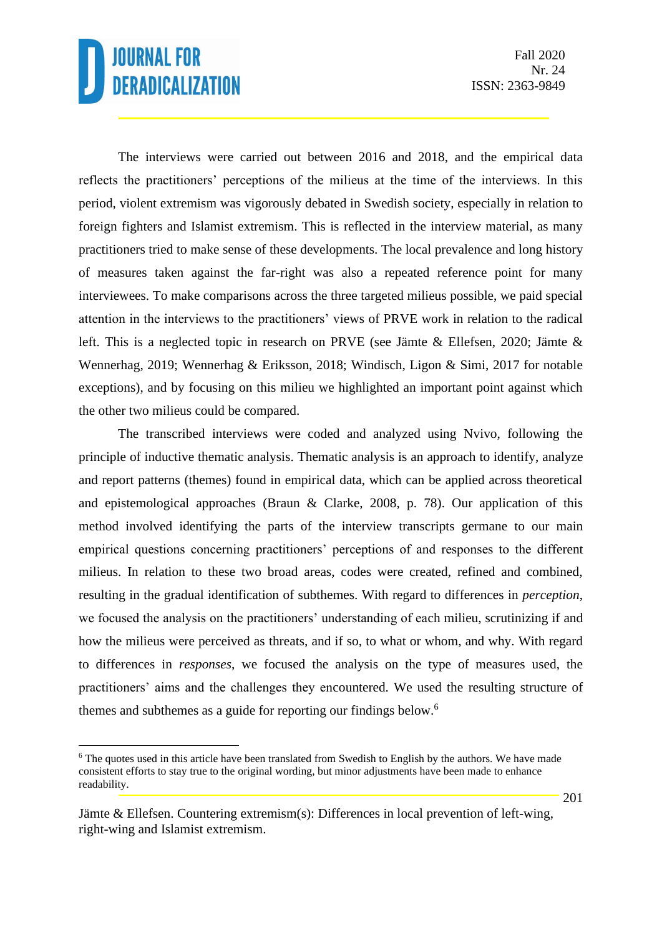The interviews were carried out between 2016 and 2018, and the empirical data reflects the practitioners' perceptions of the milieus at the time of the interviews. In this period, violent extremism was vigorously debated in Swedish society, especially in relation to foreign fighters and Islamist extremism. This is reflected in the interview material, as many practitioners tried to make sense of these developments. The local prevalence and long history of measures taken against the far-right was also a repeated reference point for many interviewees. To make comparisons across the three targeted milieus possible, we paid special attention in the interviews to the practitioners' views of PRVE work in relation to the radical left. This is a neglected topic in research on PRVE (see Jämte & Ellefsen, 2020; Jämte & Wennerhag, 2019; Wennerhag & Eriksson, 2018; Windisch, Ligon & Simi, 2017 for notable exceptions), and by focusing on this milieu we highlighted an important point against which the other two milieus could be compared.

The transcribed interviews were coded and analyzed using Nvivo, following the principle of inductive thematic analysis. Thematic analysis is an approach to identify, analyze and report patterns (themes) found in empirical data, which can be applied across theoretical and epistemological approaches (Braun & Clarke, 2008, p. 78). Our application of this method involved identifying the parts of the interview transcripts germane to our main empirical questions concerning practitioners' perceptions of and responses to the different milieus. In relation to these two broad areas, codes were created, refined and combined, resulting in the gradual identification of subthemes. With regard to differences in *perception*, we focused the analysis on the practitioners' understanding of each milieu, scrutinizing if and how the milieus were perceived as threats, and if so, to what or whom, and why. With regard to differences in *responses*, we focused the analysis on the type of measures used, the practitioners' aims and the challenges they encountered. We used the resulting structure of themes and subthemes as a guide for reporting our findings below.<sup>6</sup>

<sup>&</sup>lt;sup>6</sup> The quotes used in this article have been translated from Swedish to English by the authors. We have made consistent efforts to stay true to the original wording, but minor adjustments have been made to enhance readability.

Jämte & Ellefsen. Countering extremism(s): Differences in local prevention of left-wing, right-wing and Islamist extremism.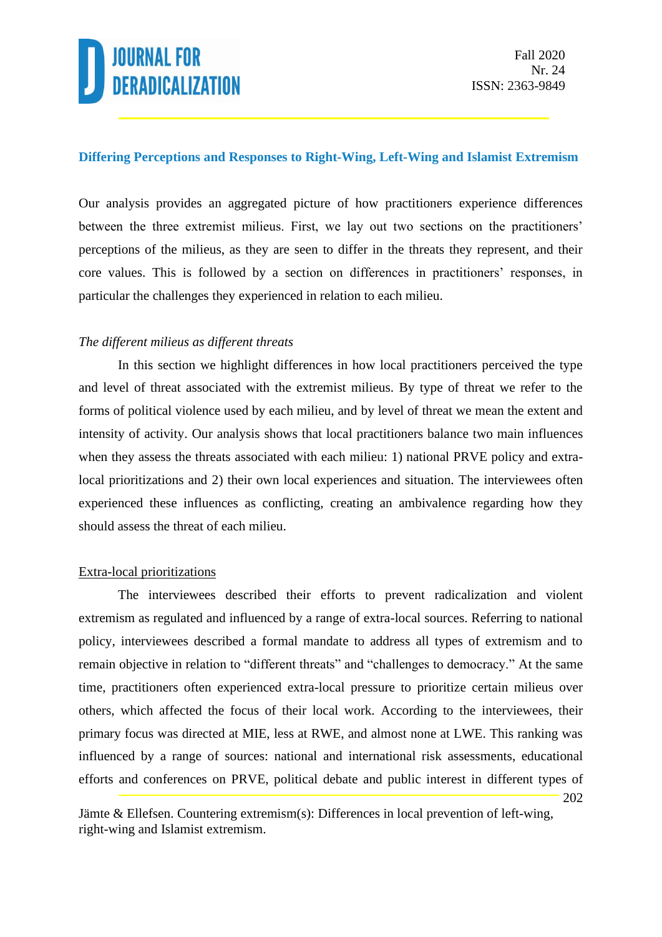

#### **Differing Perceptions and Responses to Right-Wing, Left-Wing and Islamist Extremism**

Our analysis provides an aggregated picture of how practitioners experience differences between the three extremist milieus. First, we lay out two sections on the practitioners' perceptions of the milieus, as they are seen to differ in the threats they represent, and their core values. This is followed by a section on differences in practitioners' responses, in particular the challenges they experienced in relation to each milieu.

#### *The different milieus as different threats*

In this section we highlight differences in how local practitioners perceived the type and level of threat associated with the extremist milieus. By type of threat we refer to the forms of political violence used by each milieu, and by level of threat we mean the extent and intensity of activity. Our analysis shows that local practitioners balance two main influences when they assess the threats associated with each milieu: 1) national PRVE policy and extralocal prioritizations and 2) their own local experiences and situation*.* The interviewees often experienced these influences as conflicting, creating an ambivalence regarding how they should assess the threat of each milieu.

#### Extra-local prioritizations

202 The interviewees described their efforts to prevent radicalization and violent extremism as regulated and influenced by a range of extra-local sources. Referring to national policy, interviewees described a formal mandate to address all types of extremism and to remain objective in relation to "different threats" and "challenges to democracy." At the same time, practitioners often experienced extra-local pressure to prioritize certain milieus over others, which affected the focus of their local work. According to the interviewees, their primary focus was directed at MIE, less at RWE, and almost none at LWE. This ranking was influenced by a range of sources: national and international risk assessments, educational efforts and conferences on PRVE, political debate and public interest in different types of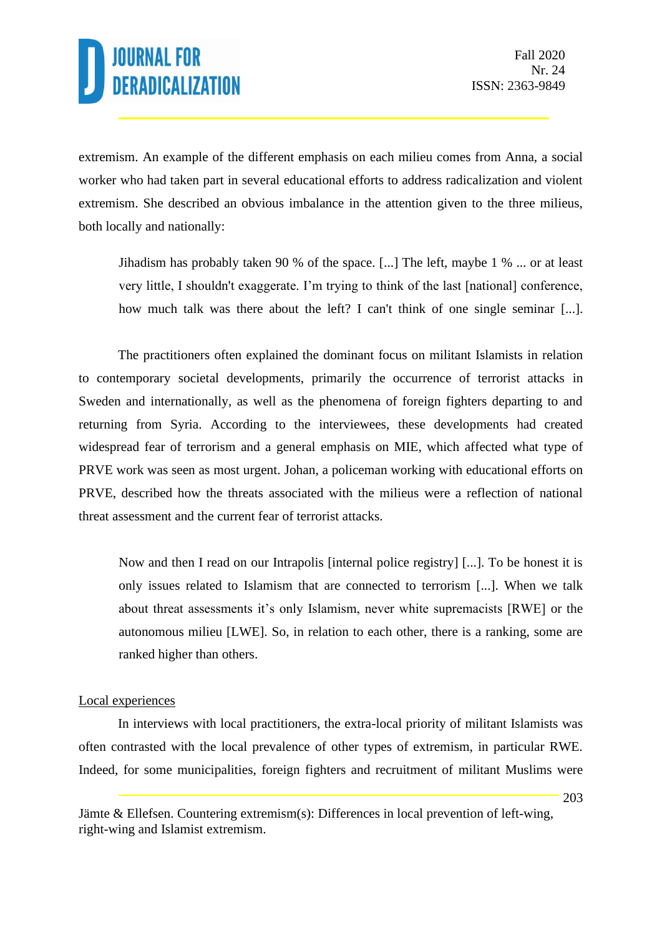extremism. An example of the different emphasis on each milieu comes from Anna, a social worker who had taken part in several educational efforts to address radicalization and violent extremism. She described an obvious imbalance in the attention given to the three milieus, both locally and nationally:

Jihadism has probably taken 90 % of the space. [...] The left, maybe 1 % ... or at least very little, I shouldn't exaggerate. I'm trying to think of the last [national] conference, how much talk was there about the left? I can't think of one single seminar [...].

The practitioners often explained the dominant focus on militant Islamists in relation to contemporary societal developments, primarily the occurrence of terrorist attacks in Sweden and internationally, as well as the phenomena of foreign fighters departing to and returning from Syria. According to the interviewees, these developments had created widespread fear of terrorism and a general emphasis on MIE, which affected what type of PRVE work was seen as most urgent. Johan, a policeman working with educational efforts on PRVE, described how the threats associated with the milieus were a reflection of national threat assessment and the current fear of terrorist attacks.

Now and then I read on our Intrapolis [internal police registry] [...]. To be honest it is only issues related to Islamism that are connected to terrorism [...]. When we talk about threat assessments it's only Islamism, never white supremacists [RWE] or the autonomous milieu [LWE]. So, in relation to each other, there is a ranking, some are ranked higher than others.

#### Local experiences

In interviews with local practitioners, the extra-local priority of militant Islamists was often contrasted with the local prevalence of other types of extremism, in particular RWE. Indeed, for some municipalities, foreign fighters and recruitment of militant Muslims were

Jämte & Ellefsen. Countering extremism(s): Differences in local prevention of left-wing, right-wing and Islamist extremism.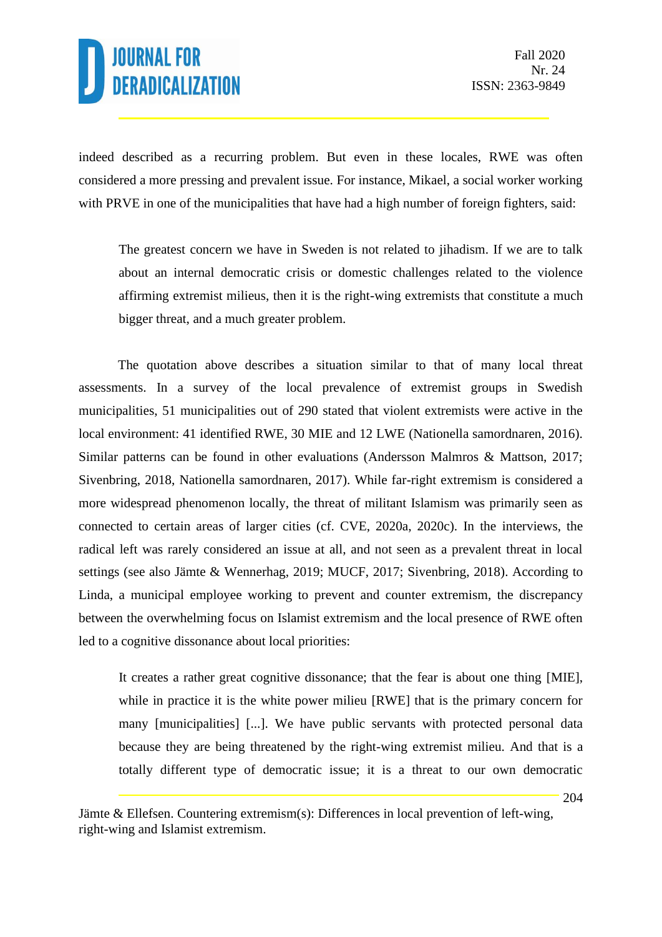indeed described as a recurring problem. But even in these locales, RWE was often considered a more pressing and prevalent issue. For instance, Mikael, a social worker working with PRVE in one of the municipalities that have had a high number of foreign fighters, said:

The greatest concern we have in Sweden is not related to jihadism. If we are to talk about an internal democratic crisis or domestic challenges related to the violence affirming extremist milieus, then it is the right-wing extremists that constitute a much bigger threat, and a much greater problem.

The quotation above describes a situation similar to that of many local threat assessments. In a survey of the local prevalence of extremist groups in Swedish municipalities, 51 municipalities out of 290 stated that violent extremists were active in the local environment: 41 identified RWE, 30 MIE and 12 LWE (Nationella samordnaren, 2016). Similar patterns can be found in other evaluations (Andersson Malmros & Mattson, 2017; Sivenbring, 2018, Nationella samordnaren, 2017). While far-right extremism is considered a more widespread phenomenon locally, the threat of militant Islamism was primarily seen as connected to certain areas of larger cities (cf. CVE, 2020a, 2020c). In the interviews, the radical left was rarely considered an issue at all, and not seen as a prevalent threat in local settings (see also Jämte & Wennerhag, 2019; MUCF, 2017; Sivenbring, 2018). According to Linda, a municipal employee working to prevent and counter extremism, the discrepancy between the overwhelming focus on Islamist extremism and the local presence of RWE often led to a cognitive dissonance about local priorities:

It creates a rather great cognitive dissonance; that the fear is about one thing [MIE], while in practice it is the white power milieu [RWE] that is the primary concern for many [municipalities] [...]. We have public servants with protected personal data because they are being threatened by the right-wing extremist milieu. And that is a totally different type of democratic issue; it is a threat to our own democratic

Jämte & Ellefsen. Countering extremism(s): Differences in local prevention of left-wing, right-wing and Islamist extremism.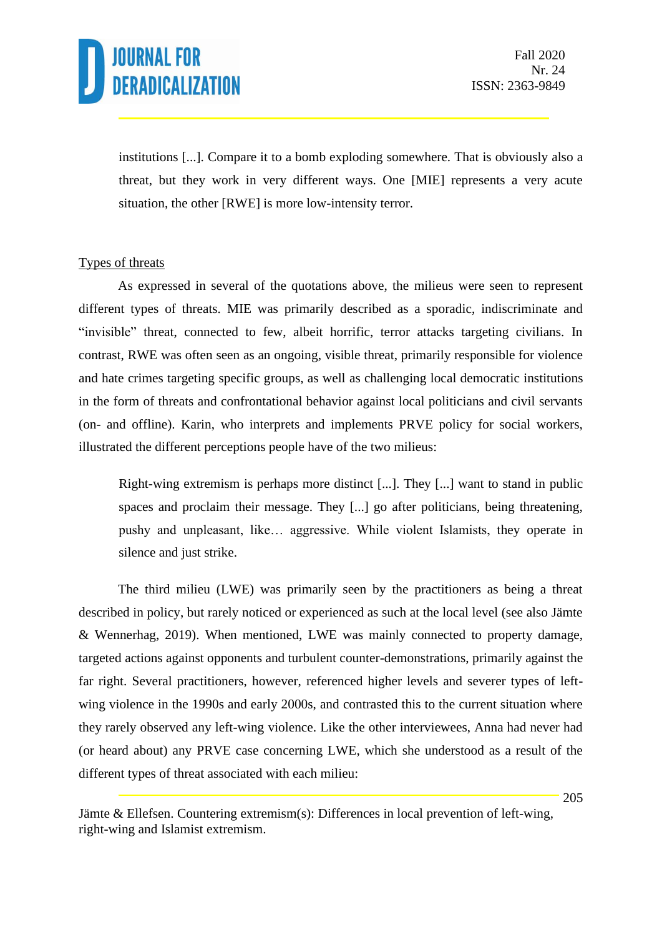institutions [...]. Compare it to a bomb exploding somewhere. That is obviously also a threat, but they work in very different ways. One [MIE] represents a very acute situation, the other [RWE] is more low-intensity terror.

### Types of threats

As expressed in several of the quotations above, the milieus were seen to represent different types of threats*.* MIE was primarily described as a sporadic, indiscriminate and "invisible" threat, connected to few, albeit horrific, terror attacks targeting civilians. In contrast, RWE was often seen as an ongoing, visible threat, primarily responsible for violence and hate crimes targeting specific groups, as well as challenging local democratic institutions in the form of threats and confrontational behavior against local politicians and civil servants (on- and offline). Karin, who interprets and implements PRVE policy for social workers, illustrated the different perceptions people have of the two milieus:

Right-wing extremism is perhaps more distinct [...]. They [...] want to stand in public spaces and proclaim their message. They [...] go after politicians, being threatening, pushy and unpleasant, like… aggressive. While violent Islamists, they operate in silence and just strike.

The third milieu (LWE) was primarily seen by the practitioners as being a threat described in policy, but rarely noticed or experienced as such at the local level (see also Jämte & Wennerhag, 2019). When mentioned, LWE was mainly connected to property damage, targeted actions against opponents and turbulent counter-demonstrations, primarily against the far right. Several practitioners, however, referenced higher levels and severer types of leftwing violence in the 1990s and early 2000s, and contrasted this to the current situation where they rarely observed any left-wing violence. Like the other interviewees, Anna had never had (or heard about) any PRVE case concerning LWE, which she understood as a result of the different types of threat associated with each milieu: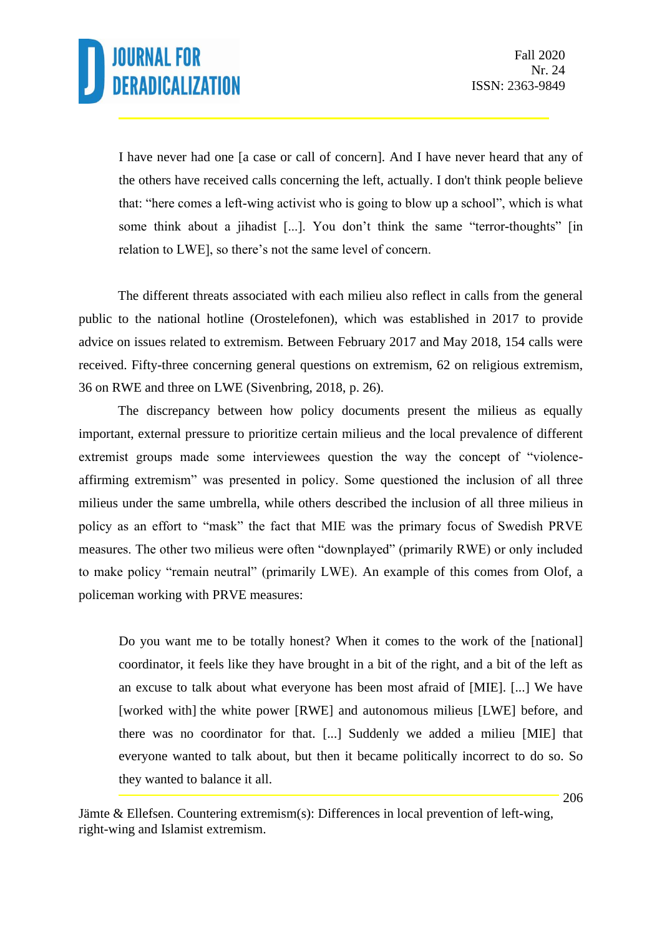I have never had one [a case or call of concern]. And I have never heard that any of the others have received calls concerning the left, actually. I don't think people believe that: "here comes a left-wing activist who is going to blow up a school", which is what some think about a jihadist [...]. You don't think the same "terror-thoughts" [in relation to LWE], so there's not the same level of concern.

The different threats associated with each milieu also reflect in calls from the general public to the national hotline (Orostelefonen), which was established in 2017 to provide advice on issues related to extremism. Between February 2017 and May 2018, 154 calls were received. Fifty-three concerning general questions on extremism, 62 on religious extremism, 36 on RWE and three on LWE (Sivenbring, 2018, p. 26).

The discrepancy between how policy documents present the milieus as equally important, external pressure to prioritize certain milieus and the local prevalence of different extremist groups made some interviewees question the way the concept of "violenceaffirming extremism" was presented in policy. Some questioned the inclusion of all three milieus under the same umbrella, while others described the inclusion of all three milieus in policy as an effort to "mask" the fact that MIE was the primary focus of Swedish PRVE measures. The other two milieus were often "downplayed" (primarily RWE) or only included to make policy "remain neutral" (primarily LWE). An example of this comes from Olof, a policeman working with PRVE measures:

Do you want me to be totally honest? When it comes to the work of the [national] coordinator, it feels like they have brought in a bit of the right, and a bit of the left as an excuse to talk about what everyone has been most afraid of [MIE]. [...] We have [worked with] the white power [RWE] and autonomous milieus [LWE] before, and there was no coordinator for that. [...] Suddenly we added a milieu [MIE] that everyone wanted to talk about, but then it became politically incorrect to do so. So they wanted to balance it all.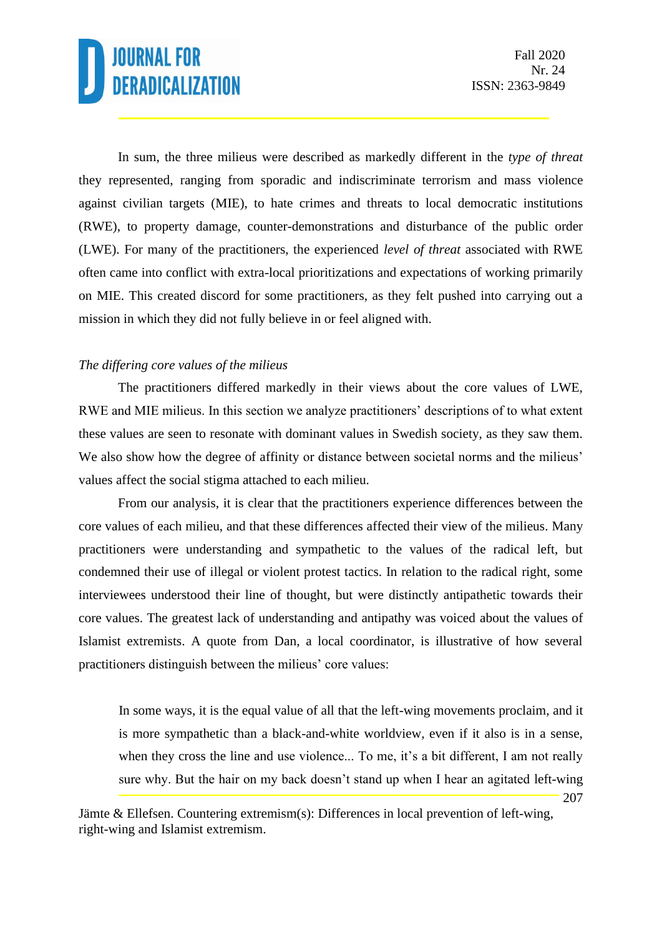207

In sum, the three milieus were described as markedly different in the *type of threat* they represented, ranging from sporadic and indiscriminate terrorism and mass violence against civilian targets (MIE), to hate crimes and threats to local democratic institutions (RWE), to property damage, counter-demonstrations and disturbance of the public order (LWE). For many of the practitioners, the experienced *level of threat* associated with RWE often came into conflict with extra-local prioritizations and expectations of working primarily on MIE. This created discord for some practitioners, as they felt pushed into carrying out a mission in which they did not fully believe in or feel aligned with.

### *The differing core values of the milieus*

The practitioners differed markedly in their views about the core values of LWE, RWE and MIE milieus. In this section we analyze practitioners' descriptions of to what extent these values are seen to resonate with dominant values in Swedish society, as they saw them. We also show how the degree of affinity or distance between societal norms and the milieus' values affect the social stigma attached to each milieu.

From our analysis, it is clear that the practitioners experience differences between the core values of each milieu, and that these differences affected their view of the milieus. Many practitioners were understanding and sympathetic to the values of the radical left, but condemned their use of illegal or violent protest tactics. In relation to the radical right, some interviewees understood their line of thought, but were distinctly antipathetic towards their core values. The greatest lack of understanding and antipathy was voiced about the values of Islamist extremists. A quote from Dan, a local coordinator, is illustrative of how several practitioners distinguish between the milieus' core values:

In some ways, it is the equal value of all that the left-wing movements proclaim, and it is more sympathetic than a black-and-white worldview, even if it also is in a sense, when they cross the line and use violence... To me, it's a bit different, I am not really sure why. But the hair on my back doesn't stand up when I hear an agitated left-wing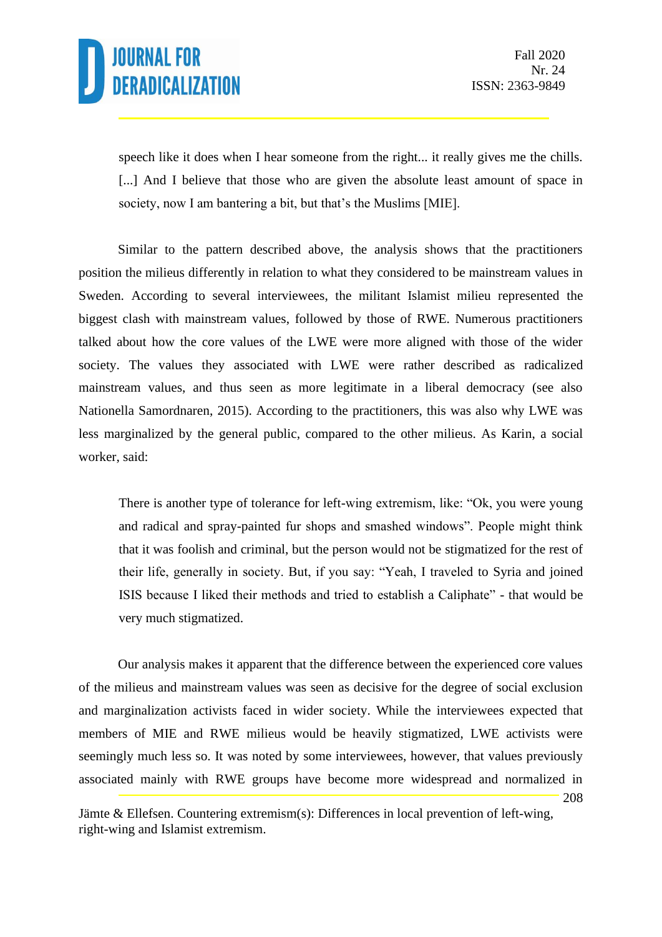speech like it does when I hear someone from the right... it really gives me the chills. [...] And I believe that those who are given the absolute least amount of space in society, now I am bantering a bit, but that's the Muslims [MIE].

Similar to the pattern described above, the analysis shows that the practitioners position the milieus differently in relation to what they considered to be mainstream values in Sweden. According to several interviewees, the militant Islamist milieu represented the biggest clash with mainstream values, followed by those of RWE. Numerous practitioners talked about how the core values of the LWE were more aligned with those of the wider society. The values they associated with LWE were rather described as radicalized mainstream values, and thus seen as more legitimate in a liberal democracy (see also Nationella Samordnaren, 2015). According to the practitioners, this was also why LWE was less marginalized by the general public, compared to the other milieus. As Karin, a social worker, said:

There is another type of tolerance for left-wing extremism, like: "Ok, you were young and radical and spray-painted fur shops and smashed windows". People might think that it was foolish and criminal, but the person would not be stigmatized for the rest of their life, generally in society. But, if you say: "Yeah, I traveled to Syria and joined ISIS because I liked their methods and tried to establish a Caliphate" - that would be very much stigmatized.

208 Our analysis makes it apparent that the difference between the experienced core values of the milieus and mainstream values was seen as decisive for the degree of social exclusion and marginalization activists faced in wider society. While the interviewees expected that members of MIE and RWE milieus would be heavily stigmatized, LWE activists were seemingly much less so. It was noted by some interviewees, however, that values previously associated mainly with RWE groups have become more widespread and normalized in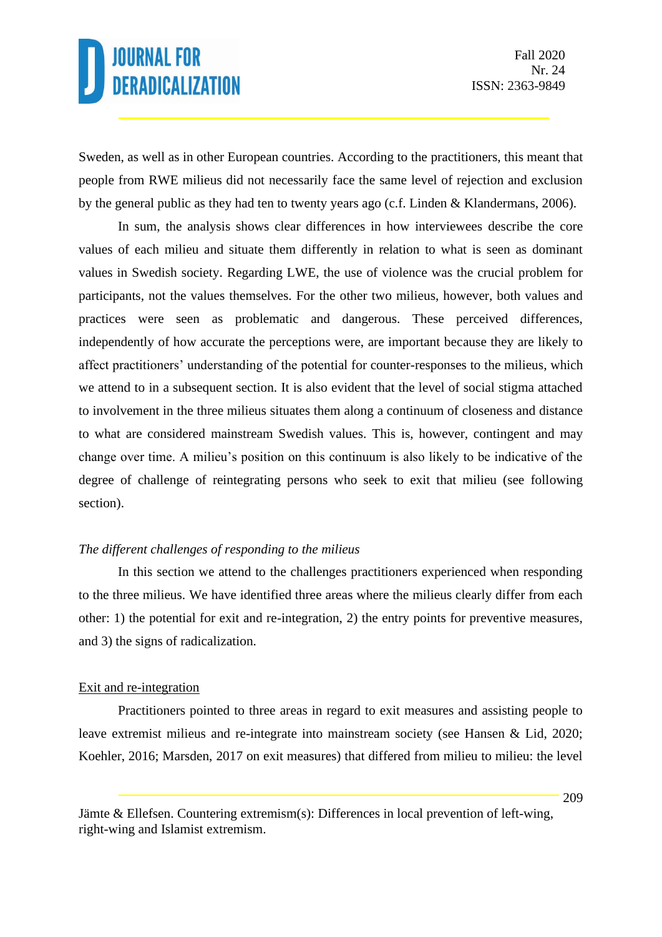Sweden, as well as in other European countries. According to the practitioners, this meant that people from RWE milieus did not necessarily face the same level of rejection and exclusion by the general public as they had ten to twenty years ago (c.f. Linden & Klandermans, 2006).

In sum, the analysis shows clear differences in how interviewees describe the core values of each milieu and situate them differently in relation to what is seen as dominant values in Swedish society. Regarding LWE, the use of violence was the crucial problem for participants, not the values themselves. For the other two milieus, however, both values and practices were seen as problematic and dangerous. These perceived differences, independently of how accurate the perceptions were, are important because they are likely to affect practitioners' understanding of the potential for counter-responses to the milieus, which we attend to in a subsequent section. It is also evident that the level of social stigma attached to involvement in the three milieus situates them along a continuum of closeness and distance to what are considered mainstream Swedish values. This is, however, contingent and may change over time. A milieu's position on this continuum is also likely to be indicative of the degree of challenge of reintegrating persons who seek to exit that milieu (see following section).

#### *The different challenges of responding to the milieus*

In this section we attend to the challenges practitioners experienced when responding to the three milieus. We have identified three areas where the milieus clearly differ from each other: 1) the potential for exit and re-integration, 2) the entry points for preventive measures, and 3) the signs of radicalization.

#### Exit and re-integration

Practitioners pointed to three areas in regard to exit measures and assisting people to leave extremist milieus and re-integrate into mainstream society (see Hansen & Lid, 2020; Koehler, 2016; Marsden, 2017 on exit measures) that differed from milieu to milieu: the level

Jämte & Ellefsen. Countering extremism(s): Differences in local prevention of left-wing, right-wing and Islamist extremism.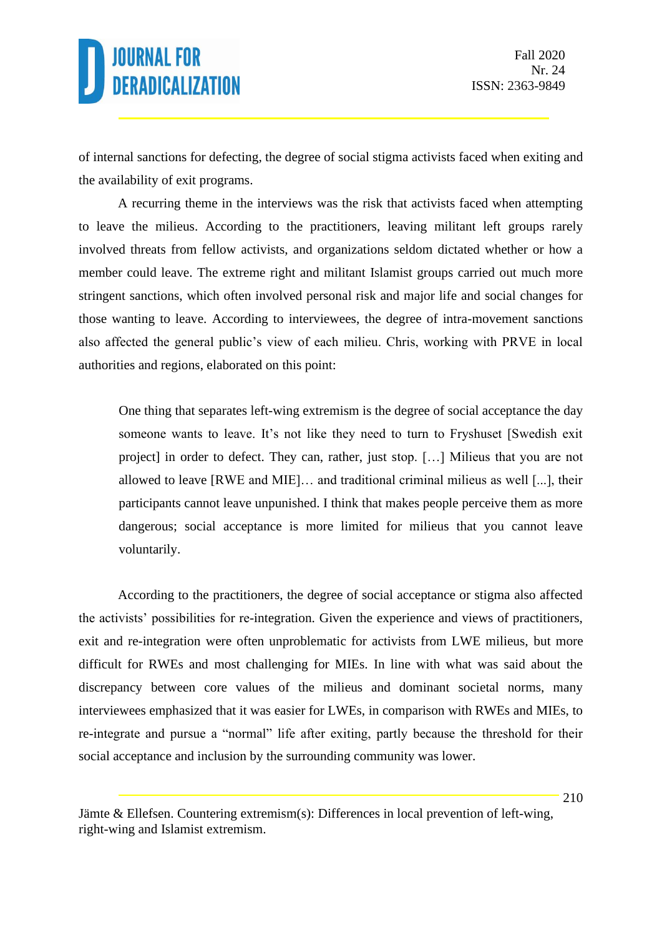of internal sanctions for defecting, the degree of social stigma activists faced when exiting and the availability of exit programs.

A recurring theme in the interviews was the risk that activists faced when attempting to leave the milieus. According to the practitioners, leaving militant left groups rarely involved threats from fellow activists, and organizations seldom dictated whether or how a member could leave. The extreme right and militant Islamist groups carried out much more stringent sanctions, which often involved personal risk and major life and social changes for those wanting to leave. According to interviewees, the degree of intra-movement sanctions also affected the general public's view of each milieu. Chris, working with PRVE in local authorities and regions, elaborated on this point:

One thing that separates left-wing extremism is the degree of social acceptance the day someone wants to leave. It's not like they need to turn to Fryshuset [Swedish exit project] in order to defect. They can, rather, just stop. […] Milieus that you are not allowed to leave [RWE and MIE]… and traditional criminal milieus as well [...], their participants cannot leave unpunished. I think that makes people perceive them as more dangerous; social acceptance is more limited for milieus that you cannot leave voluntarily.

According to the practitioners, the degree of social acceptance or stigma also affected the activists' possibilities for re-integration. Given the experience and views of practitioners, exit and re-integration were often unproblematic for activists from LWE milieus, but more difficult for RWEs and most challenging for MIEs. In line with what was said about the discrepancy between core values of the milieus and dominant societal norms, many interviewees emphasized that it was easier for LWEs, in comparison with RWEs and MIEs, to re-integrate and pursue a "normal" life after exiting, partly because the threshold for their social acceptance and inclusion by the surrounding community was lower.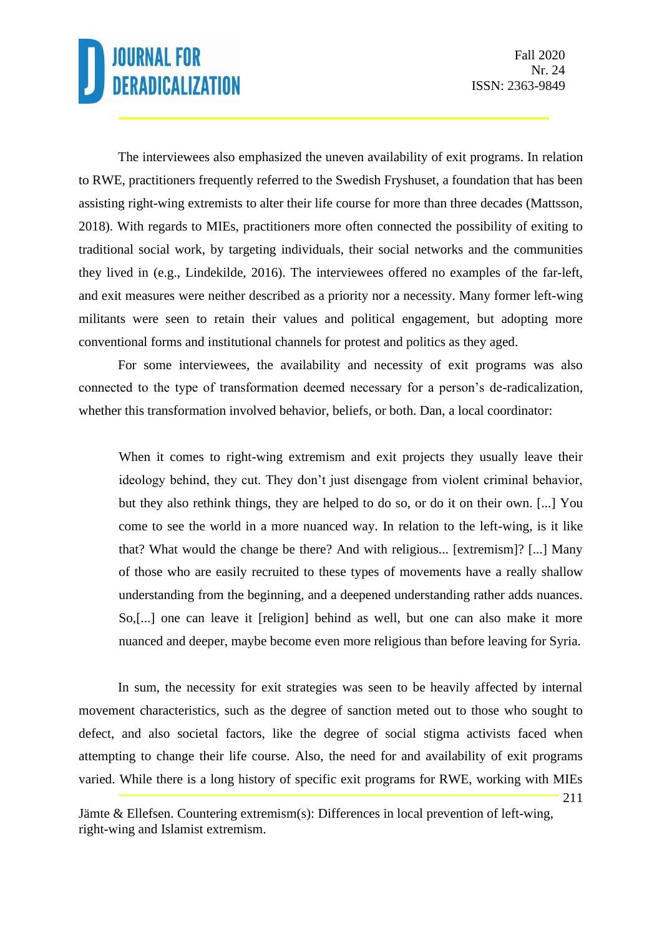211

The interviewees also emphasized the uneven availability of exit programs. In relation to RWE, practitioners frequently referred to the Swedish Fryshuset, a foundation that has been assisting right-wing extremists to alter their life course for more than three decades (Mattsson, 2018). With regards to MIEs, practitioners more often connected the possibility of exiting to traditional social work, by targeting individuals, their social networks and the communities they lived in (e.g., Lindekilde, 2016). The interviewees offered no examples of the far-left, and exit measures were neither described as a priority nor a necessity. Many former left-wing militants were seen to retain their values and political engagement, but adopting more conventional forms and institutional channels for protest and politics as they aged.

For some interviewees, the availability and necessity of exit programs was also connected to the type of transformation deemed necessary for a person's de-radicalization, whether this transformation involved behavior, beliefs, or both. Dan, a local coordinator:

When it comes to right-wing extremism and exit projects they usually leave their ideology behind, they cut. They don't just disengage from violent criminal behavior, but they also rethink things, they are helped to do so, or do it on their own. [...] You come to see the world in a more nuanced way. In relation to the left-wing, is it like that? What would the change be there? And with religious... [extremism]? [...] Many of those who are easily recruited to these types of movements have a really shallow understanding from the beginning, and a deepened understanding rather adds nuances. So,[...] one can leave it [religion] behind as well, but one can also make it more nuanced and deeper, maybe become even more religious than before leaving for Syria.

In sum, the necessity for exit strategies was seen to be heavily affected by internal movement characteristics, such as the degree of sanction meted out to those who sought to defect, and also societal factors, like the degree of social stigma activists faced when attempting to change their life course. Also, the need for and availability of exit programs varied. While there is a long history of specific exit programs for RWE, working with MIEs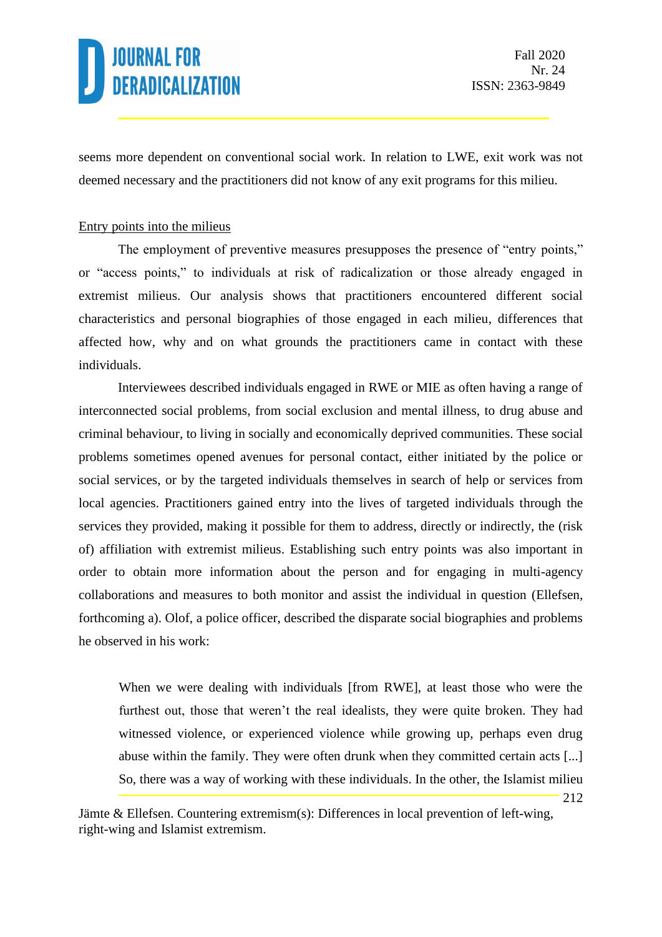212

seems more dependent on conventional social work. In relation to LWE, exit work was not deemed necessary and the practitioners did not know of any exit programs for this milieu.

### Entry points into the milieus

The employment of preventive measures presupposes the presence of "entry points," or "access points," to individuals at risk of radicalization or those already engaged in extremist milieus. Our analysis shows that practitioners encountered different social characteristics and personal biographies of those engaged in each milieu, differences that affected how, why and on what grounds the practitioners came in contact with these individuals.

Interviewees described individuals engaged in RWE or MIE as often having a range of interconnected social problems, from social exclusion and mental illness, to drug abuse and criminal behaviour, to living in socially and economically deprived communities. These social problems sometimes opened avenues for personal contact, either initiated by the police or social services, or by the targeted individuals themselves in search of help or services from local agencies. Practitioners gained entry into the lives of targeted individuals through the services they provided, making it possible for them to address, directly or indirectly, the (risk of) affiliation with extremist milieus. Establishing such entry points was also important in order to obtain more information about the person and for engaging in multi-agency collaborations and measures to both monitor and assist the individual in question (Ellefsen, forthcoming a). Olof, a police officer, described the disparate social biographies and problems he observed in his work:

When we were dealing with individuals [from RWE], at least those who were the furthest out, those that weren't the real idealists, they were quite broken. They had witnessed violence, or experienced violence while growing up, perhaps even drug abuse within the family. They were often drunk when they committed certain acts [...] So, there was a way of working with these individuals. In the other, the Islamist milieu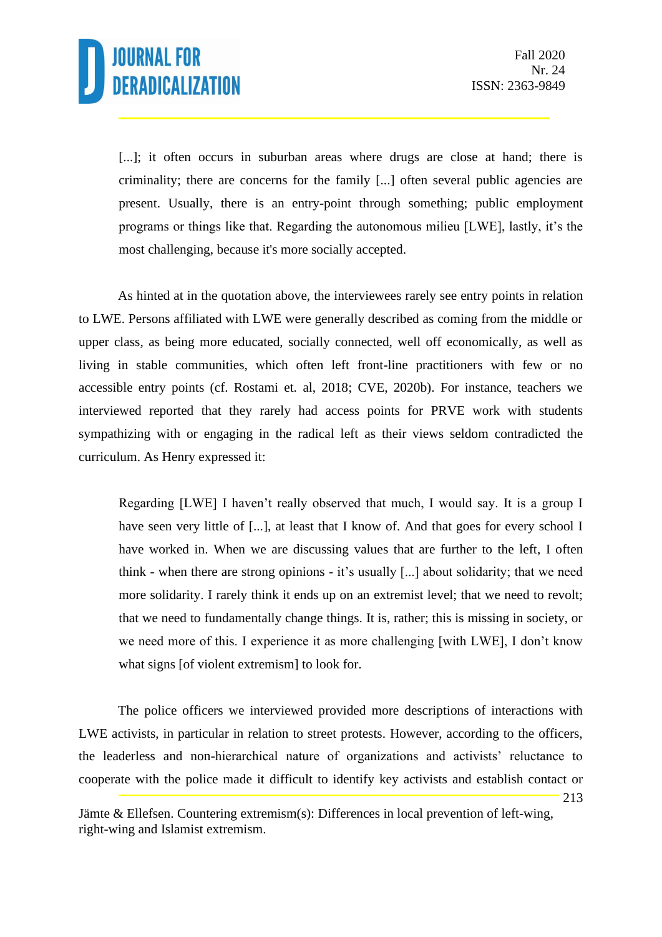

213

[...]; it often occurs in suburban areas where drugs are close at hand; there is criminality; there are concerns for the family [...] often several public agencies are present. Usually, there is an entry-point through something; public employment programs or things like that. Regarding the autonomous milieu [LWE], lastly, it's the most challenging, because it's more socially accepted.

As hinted at in the quotation above, the interviewees rarely see entry points in relation to LWE. Persons affiliated with LWE were generally described as coming from the middle or upper class, as being more educated, socially connected, well off economically, as well as living in stable communities, which often left front-line practitioners with few or no accessible entry points (cf. Rostami et. al, 2018; CVE, 2020b). For instance, teachers we interviewed reported that they rarely had access points for PRVE work with students sympathizing with or engaging in the radical left as their views seldom contradicted the curriculum. As Henry expressed it:

Regarding [LWE] I haven't really observed that much, I would say. It is a group I have seen very little of [...], at least that I know of. And that goes for every school I have worked in. When we are discussing values that are further to the left, I often think - when there are strong opinions - it's usually [...] about solidarity; that we need more solidarity. I rarely think it ends up on an extremist level; that we need to revolt; that we need to fundamentally change things. It is, rather; this is missing in society, or we need more of this. I experience it as more challenging [with LWE], I don't know what signs [of violent extremism] to look for.

The police officers we interviewed provided more descriptions of interactions with LWE activists, in particular in relation to street protests. However, according to the officers, the leaderless and non-hierarchical nature of organizations and activists' reluctance to cooperate with the police made it difficult to identify key activists and establish contact or

Jämte & Ellefsen. Countering extremism(s): Differences in local prevention of left-wing, right-wing and Islamist extremism.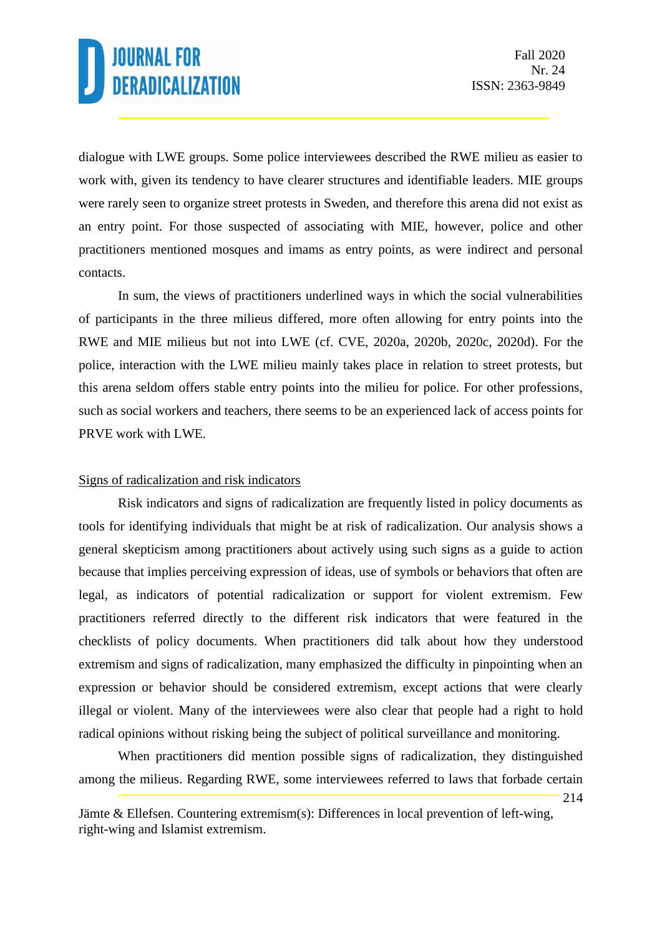214

dialogue with LWE groups. Some police interviewees described the RWE milieu as easier to work with, given its tendency to have clearer structures and identifiable leaders. MIE groups were rarely seen to organize street protests in Sweden, and therefore this arena did not exist as an entry point. For those suspected of associating with MIE, however, police and other practitioners mentioned mosques and imams as entry points, as were indirect and personal contacts.

In sum, the views of practitioners underlined ways in which the social vulnerabilities of participants in the three milieus differed, more often allowing for entry points into the RWE and MIE milieus but not into LWE (cf. CVE, 2020a, 2020b, 2020c, 2020d). For the police, interaction with the LWE milieu mainly takes place in relation to street protests, but this arena seldom offers stable entry points into the milieu for police. For other professions, such as social workers and teachers, there seems to be an experienced lack of access points for PRVE work with LWE.

### Signs of radicalization and risk indicators

Risk indicators and signs of radicalization are frequently listed in policy documents as tools for identifying individuals that might be at risk of radicalization. Our analysis shows a general skepticism among practitioners about actively using such signs as a guide to action because that implies perceiving expression of ideas, use of symbols or behaviors that often are legal, as indicators of potential radicalization or support for violent extremism. Few practitioners referred directly to the different risk indicators that were featured in the checklists of policy documents. When practitioners did talk about how they understood extremism and signs of radicalization, many emphasized the difficulty in pinpointing when an expression or behavior should be considered extremism, except actions that were clearly illegal or violent. Many of the interviewees were also clear that people had a right to hold radical opinions without risking being the subject of political surveillance and monitoring.

When practitioners did mention possible signs of radicalization, they distinguished among the milieus. Regarding RWE, some interviewees referred to laws that forbade certain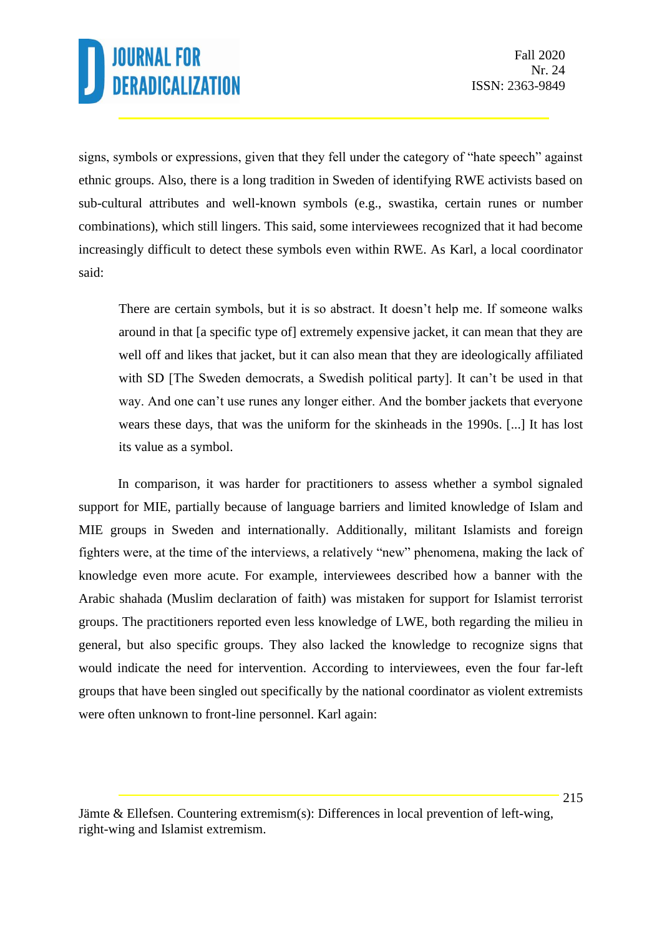signs, symbols or expressions, given that they fell under the category of "hate speech" against ethnic groups. Also, there is a long tradition in Sweden of identifying RWE activists based on sub-cultural attributes and well-known symbols (e.g., swastika, certain runes or number combinations), which still lingers. This said, some interviewees recognized that it had become increasingly difficult to detect these symbols even within RWE. As Karl, a local coordinator said:

There are certain symbols, but it is so abstract. It doesn't help me. If someone walks around in that [a specific type of] extremely expensive jacket, it can mean that they are well off and likes that jacket, but it can also mean that they are ideologically affiliated with SD [The Sweden democrats, a Swedish political party]. It can't be used in that way. And one can't use runes any longer either. And the bomber jackets that everyone wears these days, that was the uniform for the skinheads in the 1990s. [...] It has lost its value as a symbol.

In comparison, it was harder for practitioners to assess whether a symbol signaled support for MIE, partially because of language barriers and limited knowledge of Islam and MIE groups in Sweden and internationally. Additionally, militant Islamists and foreign fighters were, at the time of the interviews, a relatively "new" phenomena, making the lack of knowledge even more acute. For example, interviewees described how a banner with the Arabic shahada (Muslim declaration of faith) was mistaken for support for Islamist terrorist groups. The practitioners reported even less knowledge of LWE, both regarding the milieu in general, but also specific groups. They also lacked the knowledge to recognize signs that would indicate the need for intervention. According to interviewees, even the four far-left groups that have been singled out specifically by the national coordinator as violent extremists were often unknown to front-line personnel. Karl again:

Jämte & Ellefsen. Countering extremism(s): Differences in local prevention of left-wing, right-wing and Islamist extremism.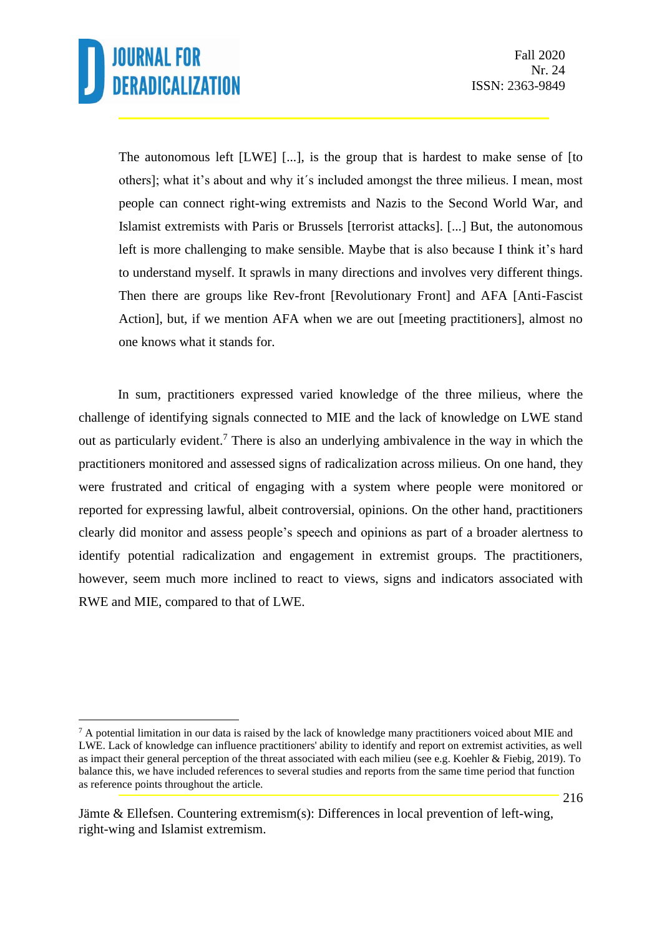The autonomous left [LWE] [...], is the group that is hardest to make sense of [to others]; what it's about and why it´s included amongst the three milieus. I mean, most people can connect right-wing extremists and Nazis to the Second World War, and Islamist extremists with Paris or Brussels [terrorist attacks]. [...] But, the autonomous left is more challenging to make sensible. Maybe that is also because I think it's hard to understand myself. It sprawls in many directions and involves very different things. Then there are groups like Rev-front [Revolutionary Front] and AFA [Anti-Fascist Action], but, if we mention AFA when we are out [meeting practitioners], almost no one knows what it stands for.

In sum, practitioners expressed varied knowledge of the three milieus, where the challenge of identifying signals connected to MIE and the lack of knowledge on LWE stand out as particularly evident.<sup>7</sup> There is also an underlying ambivalence in the way in which the practitioners monitored and assessed signs of radicalization across milieus. On one hand, they were frustrated and critical of engaging with a system where people were monitored or reported for expressing lawful, albeit controversial, opinions. On the other hand, practitioners clearly did monitor and assess people's speech and opinions as part of a broader alertness to identify potential radicalization and engagement in extremist groups. The practitioners, however, seem much more inclined to react to views, signs and indicators associated with RWE and MIE, compared to that of LWE.

 $<sup>7</sup>$  A potential limitation in our data is raised by the lack of knowledge many practitioners voiced about MIE and</sup> LWE. Lack of knowledge can influence practitioners' ability to identify and report on extremist activities, as well as impact their general perception of the threat associated with each milieu (see e.g. Koehler & Fiebig, 2019). To balance this, we have included references to several studies and reports from the same time period that function as reference points throughout the article.

Jämte & Ellefsen. Countering extremism(s): Differences in local prevention of left-wing, right-wing and Islamist extremism.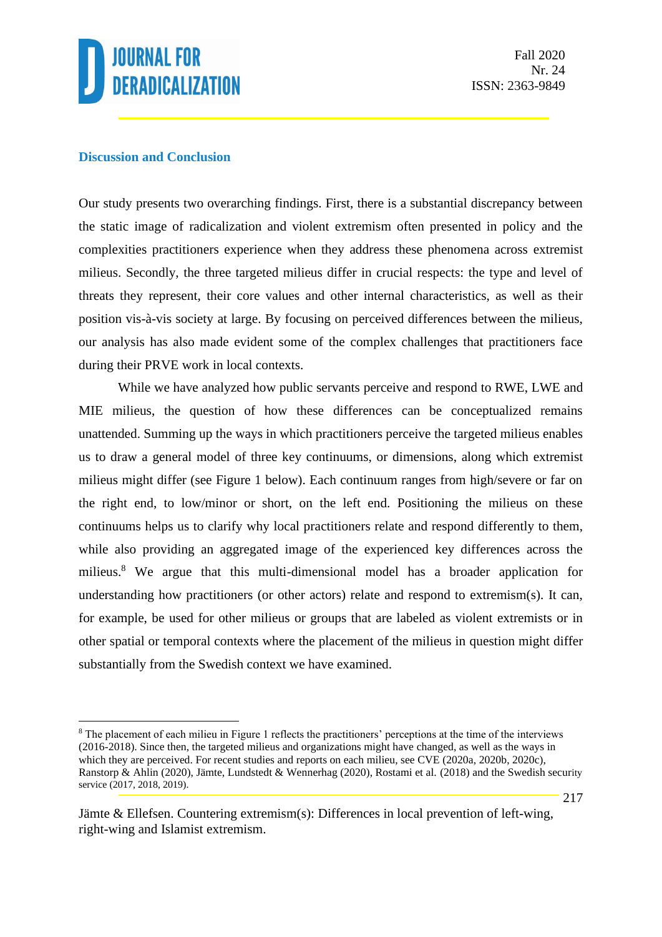

#### **Discussion and Conclusion**

Our study presents two overarching findings. First, there is a substantial discrepancy between the static image of radicalization and violent extremism often presented in policy and the complexities practitioners experience when they address these phenomena across extremist milieus. Secondly, the three targeted milieus differ in crucial respects: the type and level of threats they represent, their core values and other internal characteristics, as well as their position vis-à-vis society at large. By focusing on perceived differences between the milieus, our analysis has also made evident some of the complex challenges that practitioners face during their PRVE work in local contexts.

While we have analyzed how public servants perceive and respond to RWE, LWE and MIE milieus, the question of how these differences can be conceptualized remains unattended. Summing up the ways in which practitioners perceive the targeted milieus enables us to draw a general model of three key continuums, or dimensions, along which extremist milieus might differ (see Figure 1 below). Each continuum ranges from high/severe or far on the right end, to low/minor or short, on the left end. Positioning the milieus on these continuums helps us to clarify why local practitioners relate and respond differently to them, while also providing an aggregated image of the experienced key differences across the milieus. <sup>8</sup> We argue that this multi-dimensional model has a broader application for understanding how practitioners (or other actors) relate and respond to extremism(s). It can, for example, be used for other milieus or groups that are labeled as violent extremists or in other spatial or temporal contexts where the placement of the milieus in question might differ substantially from the Swedish context we have examined.

<sup>8</sup> The placement of each milieu in Figure 1 reflects the practitioners' perceptions at the time of the interviews (2016-2018). Since then, the targeted milieus and organizations might have changed, as well as the ways in which they are perceived. For recent studies and reports on each milieu, see CVE (2020a, 2020b, 2020c), Ranstorp & Ahlin (2020), Jämte, Lundstedt & Wennerhag (2020), Rostami et al. (2018) and the Swedish security service (2017, 2018, 2019).

Jämte & Ellefsen. Countering extremism(s): Differences in local prevention of left-wing, right-wing and Islamist extremism.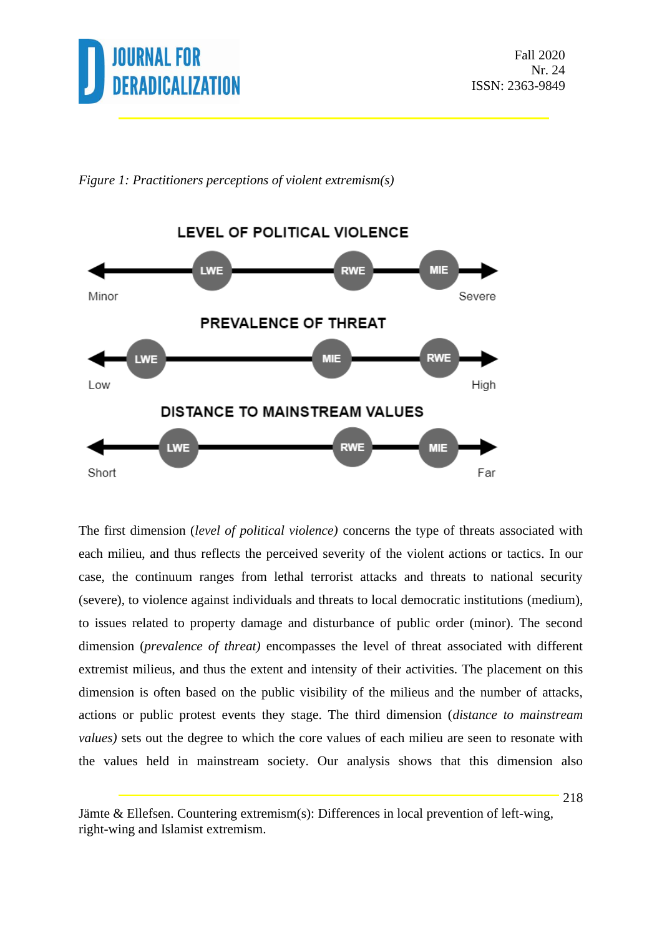

*Figure 1: Practitioners perceptions of violent extremism(s)*



The first dimension (*level of political violence)* concerns the type of threats associated with each milieu, and thus reflects the perceived severity of the violent actions or tactics. In our case, the continuum ranges from lethal terrorist attacks and threats to national security (severe), to violence against individuals and threats to local democratic institutions (medium), to issues related to property damage and disturbance of public order (minor). The second dimension (*prevalence of threat)* encompasses the level of threat associated with different extremist milieus, and thus the extent and intensity of their activities. The placement on this dimension is often based on the public visibility of the milieus and the number of attacks, actions or public protest events they stage. The third dimension (*distance to mainstream values)* sets out the degree to which the core values of each milieu are seen to resonate with the values held in mainstream society. Our analysis shows that this dimension also

Jämte & Ellefsen. Countering extremism(s): Differences in local prevention of left-wing, right-wing and Islamist extremism.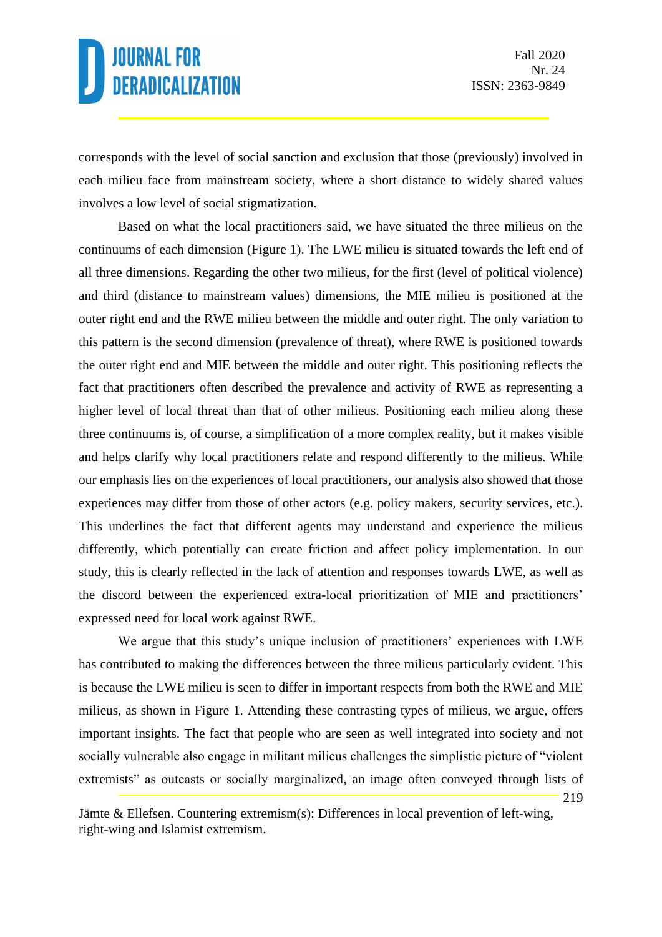219

corresponds with the level of social sanction and exclusion that those (previously) involved in each milieu face from mainstream society, where a short distance to widely shared values involves a low level of social stigmatization.

Based on what the local practitioners said, we have situated the three milieus on the continuums of each dimension (Figure 1). The LWE milieu is situated towards the left end of all three dimensions. Regarding the other two milieus, for the first (level of political violence) and third (distance to mainstream values) dimensions, the MIE milieu is positioned at the outer right end and the RWE milieu between the middle and outer right. The only variation to this pattern is the second dimension (prevalence of threat), where RWE is positioned towards the outer right end and MIE between the middle and outer right. This positioning reflects the fact that practitioners often described the prevalence and activity of RWE as representing a higher level of local threat than that of other milieus. Positioning each milieu along these three continuums is, of course, a simplification of a more complex reality, but it makes visible and helps clarify why local practitioners relate and respond differently to the milieus. While our emphasis lies on the experiences of local practitioners, our analysis also showed that those experiences may differ from those of other actors (e.g. policy makers, security services, etc.). This underlines the fact that different agents may understand and experience the milieus differently, which potentially can create friction and affect policy implementation. In our study, this is clearly reflected in the lack of attention and responses towards LWE, as well as the discord between the experienced extra-local prioritization of MIE and practitioners' expressed need for local work against RWE.

We argue that this study's unique inclusion of practitioners' experiences with LWE has contributed to making the differences between the three milieus particularly evident. This is because the LWE milieu is seen to differ in important respects from both the RWE and MIE milieus, as shown in Figure 1. Attending these contrasting types of milieus, we argue, offers important insights. The fact that people who are seen as well integrated into society and not socially vulnerable also engage in militant milieus challenges the simplistic picture of "violent extremists" as outcasts or socially marginalized, an image often conveyed through lists of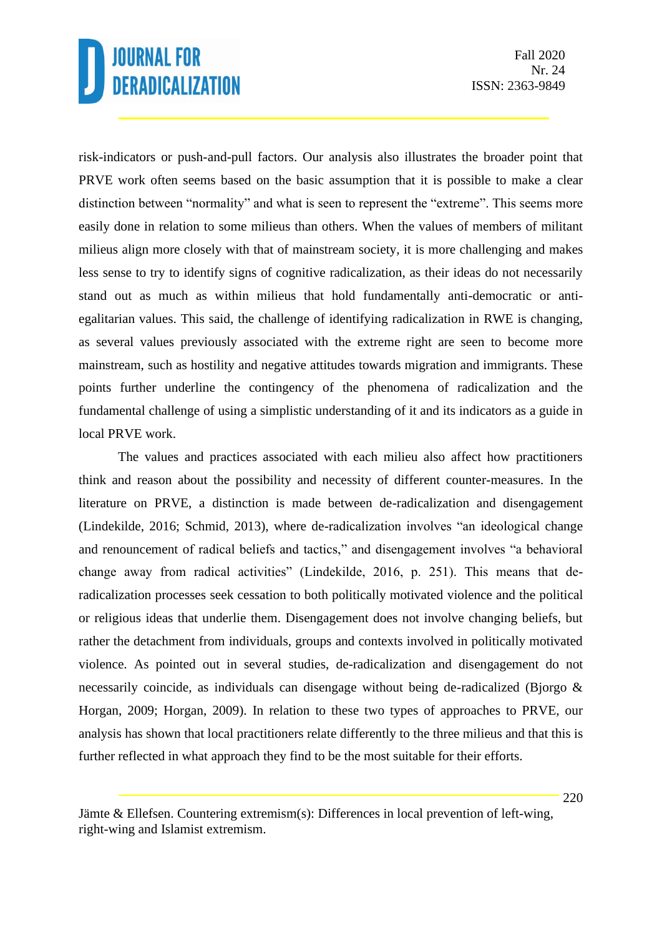risk-indicators or push-and-pull factors. Our analysis also illustrates the broader point that PRVE work often seems based on the basic assumption that it is possible to make a clear distinction between "normality" and what is seen to represent the "extreme". This seems more easily done in relation to some milieus than others. When the values of members of militant milieus align more closely with that of mainstream society, it is more challenging and makes less sense to try to identify signs of cognitive radicalization, as their ideas do not necessarily stand out as much as within milieus that hold fundamentally anti-democratic or antiegalitarian values. This said, the challenge of identifying radicalization in RWE is changing, as several values previously associated with the extreme right are seen to become more mainstream, such as hostility and negative attitudes towards migration and immigrants. These points further underline the contingency of the phenomena of radicalization and the fundamental challenge of using a simplistic understanding of it and its indicators as a guide in local PRVE work.

The values and practices associated with each milieu also affect how practitioners think and reason about the possibility and necessity of different counter-measures. In the literature on PRVE, a distinction is made between de-radicalization and disengagement (Lindekilde, 2016; Schmid, 2013), where de-radicalization involves "an ideological change and renouncement of radical beliefs and tactics," and disengagement involves "a behavioral change away from radical activities" (Lindekilde, 2016, p. 251). This means that deradicalization processes seek cessation to both politically motivated violence and the political or religious ideas that underlie them. Disengagement does not involve changing beliefs, but rather the detachment from individuals, groups and contexts involved in politically motivated violence. As pointed out in several studies, de-radicalization and disengagement do not necessarily coincide, as individuals can disengage without being de-radicalized (Bjorgo & Horgan, 2009; Horgan, 2009). In relation to these two types of approaches to PRVE, our analysis has shown that local practitioners relate differently to the three milieus and that this is further reflected in what approach they find to be the most suitable for their efforts.

Jämte & Ellefsen. Countering extremism(s): Differences in local prevention of left-wing, right-wing and Islamist extremism.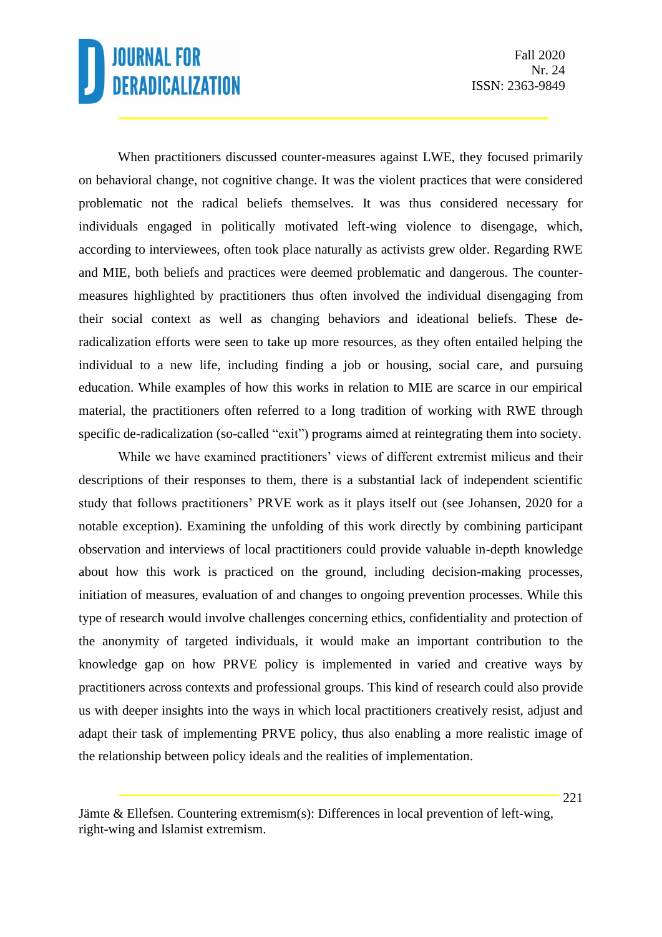When practitioners discussed counter-measures against LWE, they focused primarily on behavioral change, not cognitive change. It was the violent practices that were considered problematic not the radical beliefs themselves. It was thus considered necessary for individuals engaged in politically motivated left-wing violence to disengage, which, according to interviewees, often took place naturally as activists grew older. Regarding RWE and MIE, both beliefs and practices were deemed problematic and dangerous. The countermeasures highlighted by practitioners thus often involved the individual disengaging from their social context as well as changing behaviors and ideational beliefs. These deradicalization efforts were seen to take up more resources, as they often entailed helping the individual to a new life, including finding a job or housing, social care, and pursuing education. While examples of how this works in relation to MIE are scarce in our empirical material, the practitioners often referred to a long tradition of working with RWE through specific de-radicalization (so-called "exit") programs aimed at reintegrating them into society.

While we have examined practitioners' views of different extremist milieus and their descriptions of their responses to them, there is a substantial lack of independent scientific study that follows practitioners' PRVE work as it plays itself out (see Johansen, 2020 for a notable exception). Examining the unfolding of this work directly by combining participant observation and interviews of local practitioners could provide valuable in-depth knowledge about how this work is practiced on the ground, including decision-making processes, initiation of measures, evaluation of and changes to ongoing prevention processes. While this type of research would involve challenges concerning ethics, confidentiality and protection of the anonymity of targeted individuals, it would make an important contribution to the knowledge gap on how PRVE policy is implemented in varied and creative ways by practitioners across contexts and professional groups. This kind of research could also provide us with deeper insights into the ways in which local practitioners creatively resist, adjust and adapt their task of implementing PRVE policy, thus also enabling a more realistic image of the relationship between policy ideals and the realities of implementation.

Jämte & Ellefsen. Countering extremism(s): Differences in local prevention of left-wing, right-wing and Islamist extremism.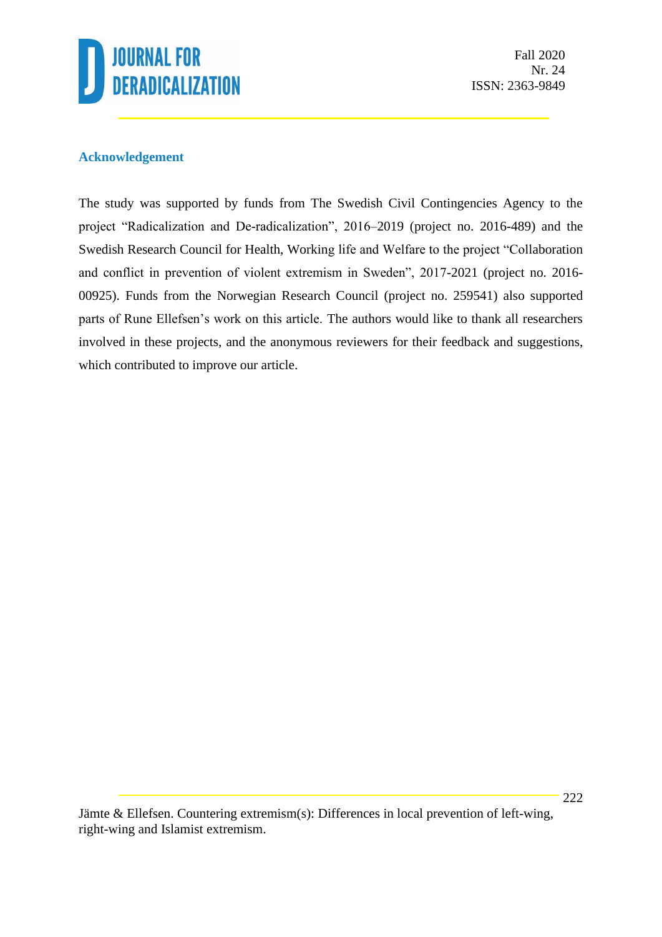

Fall 2020 Nr. 24 ISSN: 2363-9849

### **Acknowledgement**

The study was supported by funds from The Swedish Civil Contingencies Agency to the project "Radicalization and De-radicalization", 2016–2019 (project no. 2016-489) and the Swedish Research Council for Health, Working life and Welfare to the project "Collaboration and conflict in prevention of violent extremism in Sweden", 2017-2021 (project no. 2016- 00925). Funds from the Norwegian Research Council (project no. 259541) also supported parts of Rune Ellefsen's work on this article. The authors would like to thank all researchers involved in these projects, and the anonymous reviewers for their feedback and suggestions, which contributed to improve our article.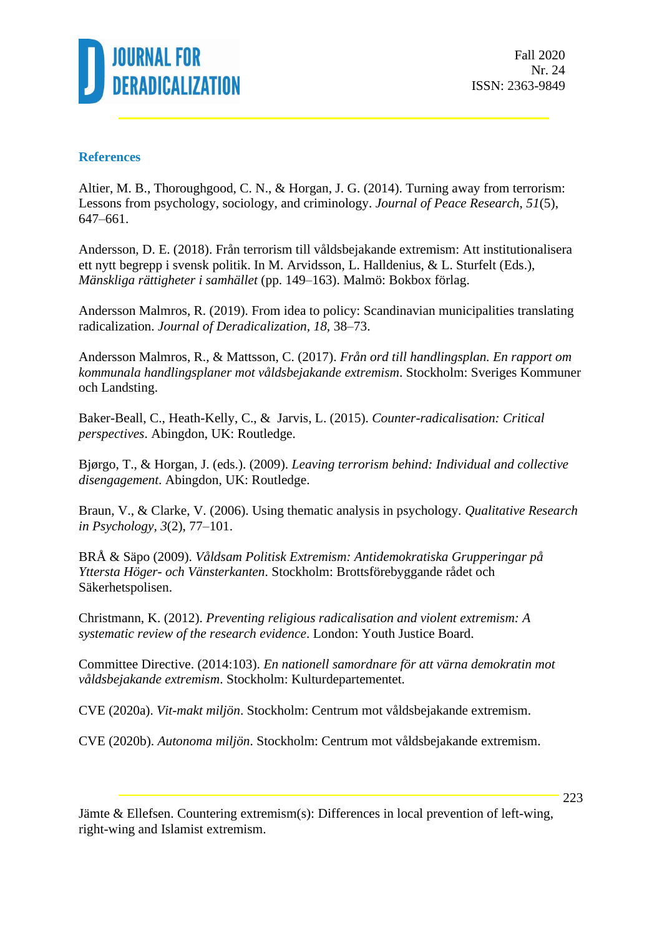

Fall 2020 Nr. 24 ISSN: 2363-9849

#### **References**

Altier, M. B., Thoroughgood, C. N., & Horgan, J. G. (2014). Turning away from terrorism: Lessons from psychology, sociology, and criminology. *Journal of Peace Research*, *51*(5), 647–661.

Andersson, D. E. (2018). Från terrorism till våldsbejakande extremism: Att institutionalisera ett nytt begrepp i svensk politik. In M. Arvidsson, L. Halldenius, & L. Sturfelt (Eds.), *Mänskliga rättigheter i samhället* (pp. 149–163). Malmö: Bokbox förlag.

Andersson Malmros, R. (2019). From idea to policy: Scandinavian municipalities translating radicalization. *Journal of Deradicalization, 18,* 38–73.

Andersson Malmros, R., & Mattsson, C. (2017). *Från ord till handlingsplan. En rapport om kommunala handlingsplaner mot våldsbejakande extremism*. Stockholm: Sveriges Kommuner och Landsting.

Baker-Beall, C., Heath-Kelly, C., & Jarvis, L. (2015). *Counter-radicalisation: Critical perspectives*. Abingdon, UK: Routledge.

Bjørgo, T., & Horgan, J. (eds.). (2009). *Leaving terrorism behind: Individual and collective disengagement*. Abingdon, UK: Routledge.

Braun, V., & Clarke, V. (2006). Using thematic analysis in psychology. *Qualitative Research in Psychology, 3*(2), 77–101.

BRÅ & Säpo (2009). *Våldsam Politisk Extremism: Antidemokratiska Grupperingar på Yttersta Höger- och Vänsterkanten*. Stockholm: Brottsförebyggande rådet och Säkerhetspolisen.

Christmann, K. (2012). *Preventing religious radicalisation and violent extremism: A systematic review of the research evidence*. London: Youth Justice Board.

Committee Directive. (2014:103). *En nationell samordnare för att värna demokratin mot våldsbejakande extremism*. Stockholm: Kulturdepartementet.

CVE (2020a). *Vit-makt miljön*. Stockholm: Centrum mot våldsbejakande extremism.

CVE (2020b). *Autonoma miljön*. Stockholm: Centrum mot våldsbejakande extremism.

Jämte & Ellefsen. Countering extremism(s): Differences in local prevention of left-wing, right-wing and Islamist extremism.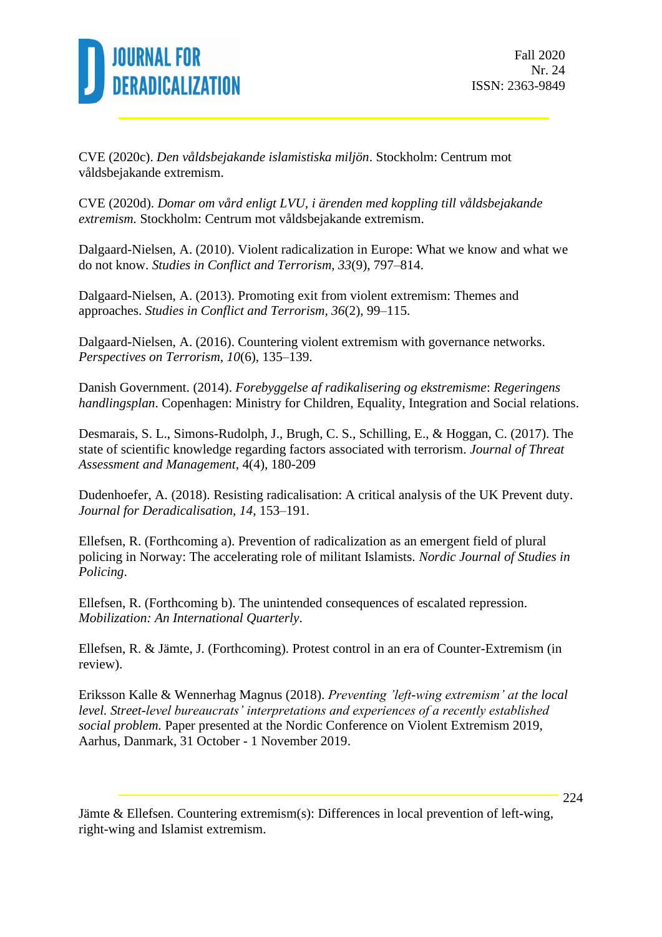

CVE (2020c). *Den våldsbejakande islamistiska miljön*. Stockholm: Centrum mot våldsbejakande extremism.

CVE (2020d). *Domar om vård enligt LVU, i ärenden med koppling till våldsbejakande extremism.* Stockholm: Centrum mot våldsbejakande extremism.

Dalgaard-Nielsen, A. (2010). Violent radicalization in Europe: What we know and what we do not know. *Studies in Conflict and Terrorism, 33*(9), 797–814.

Dalgaard-Nielsen, A. (2013). Promoting exit from violent extremism: Themes and approaches. *Studies in Conflict and Terrorism, 36*(2), 99–115.

Dalgaard-Nielsen, A. (2016). Countering violent extremism with governance networks. *Perspectives on Terrorism, 10*(6), 135–139.

Danish Government. (2014). *Forebyggelse af radikalisering og ekstremisme*: *Regeringens handlingsplan*. Copenhagen: Ministry for Children, Equality, Integration and Social relations.

Desmarais, S. L., Simons-Rudolph, J., Brugh, C. S., Schilling, E., & Hoggan, C. (2017). The state of scientific knowledge regarding factors associated with terrorism. *Journal of Threat Assessment and Management*, 4(4), 180-209

Dudenhoefer, A. (2018). Resisting radicalisation: A critical analysis of the UK Prevent duty. *Journal for Deradicalisation, 14*, 153–191.

Ellefsen, R. (Forthcoming a). Prevention of radicalization as an emergent field of plural policing in Norway: The accelerating role of militant Islamists. *Nordic Journal of Studies in Policing*.

Ellefsen, R. (Forthcoming b). The unintended consequences of escalated repression. *Mobilization: An International Quarterly*.

Ellefsen, R. & Jämte, J. (Forthcoming). Protest control in an era of Counter-Extremism (in review).

Eriksson Kalle & Wennerhag Magnus (2018). *Preventing 'left-wing extremism' at the local level. Street-level bureaucrats' interpretations and experiences of a recently established social problem.* Paper presented at the Nordic Conference on Violent Extremism 2019, Aarhus, Danmark, 31 October - 1 November 2019.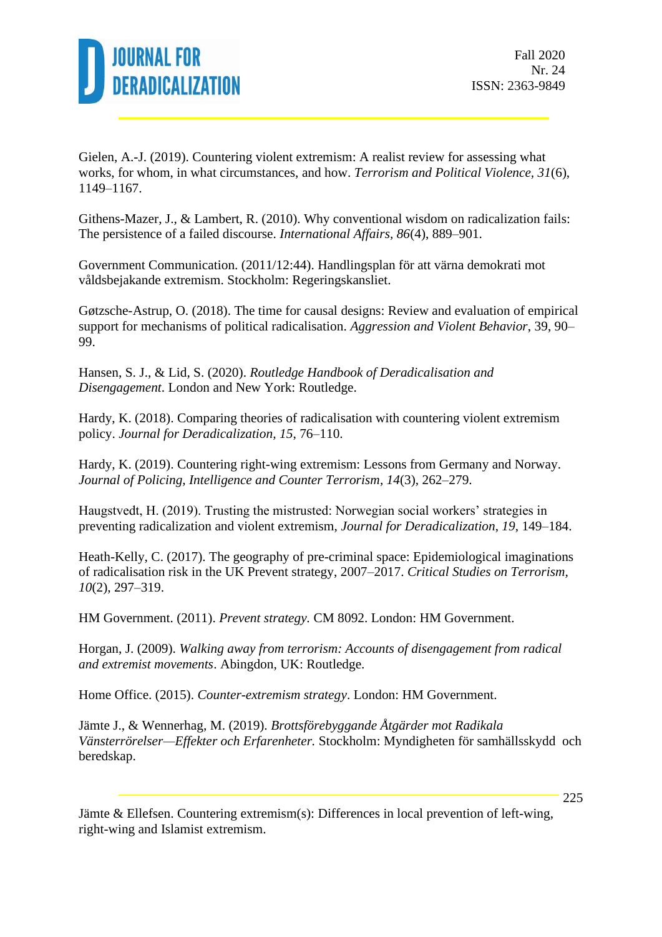

Gielen, A.-J. (2019). Countering violent extremism: A realist review for assessing what works, for whom, in what circumstances, and how. *Terrorism and Political Violence, 31*(6), 1149–1167.

Githens-Mazer, J., & Lambert, R. (2010). Why conventional wisdom on radicalization fails: The persistence of a failed discourse. *International Affairs, 86*(4), 889–901.

Government Communication. (2011/12:44). Handlingsplan för att värna demokrati mot våldsbejakande extremism. Stockholm: Regeringskansliet.

Gøtzsche-Astrup, O. (2018). The time for causal designs: Review and evaluation of empirical support for mechanisms of political radicalisation. *Aggression and Violent Behavior*, 39, 90– 99.

Hansen, S. J., & Lid, S. (2020). *Routledge Handbook of Deradicalisation and Disengagement*. London and New York: Routledge.

Hardy, K. (2018). Comparing theories of radicalisation with countering violent extremism policy. *Journal for Deradicalization, 15*, 76–110.

Hardy, K. (2019). Countering right-wing extremism: Lessons from Germany and Norway. *Journal of Policing, Intelligence and Counter Terrorism*, *14*(3), 262–279.

Haugstvedt, H. (2019). Trusting the mistrusted: Norwegian social workers' strategies in preventing radicalization and violent extremism, *Journal for Deradicalization*, *19*, 149–184.

Heath-Kelly, C. (2017). The geography of pre-criminal space: Epidemiological imaginations of radicalisation risk in the UK Prevent strategy, 2007–2017. *Critical Studies on Terrorism, 10*(2), 297–319.

HM Government. (2011). *Prevent strategy.* CM 8092. London: HM Government.

Horgan, J. (2009). *Walking away from terrorism: Accounts of disengagement from radical and extremist movements*. Abingdon, UK: Routledge.

Home Office. (2015). *Counter-extremism strategy*. London: HM Government.

Jämte J., & Wennerhag, M. (2019). *Brottsförebyggande Åtgärder mot Radikala Vänsterrörelser—Effekter och Erfarenheter.* Stockholm: Myndigheten för samhällsskydd och beredskap.

Jämte & Ellefsen. Countering extremism(s): Differences in local prevention of left-wing, right-wing and Islamist extremism.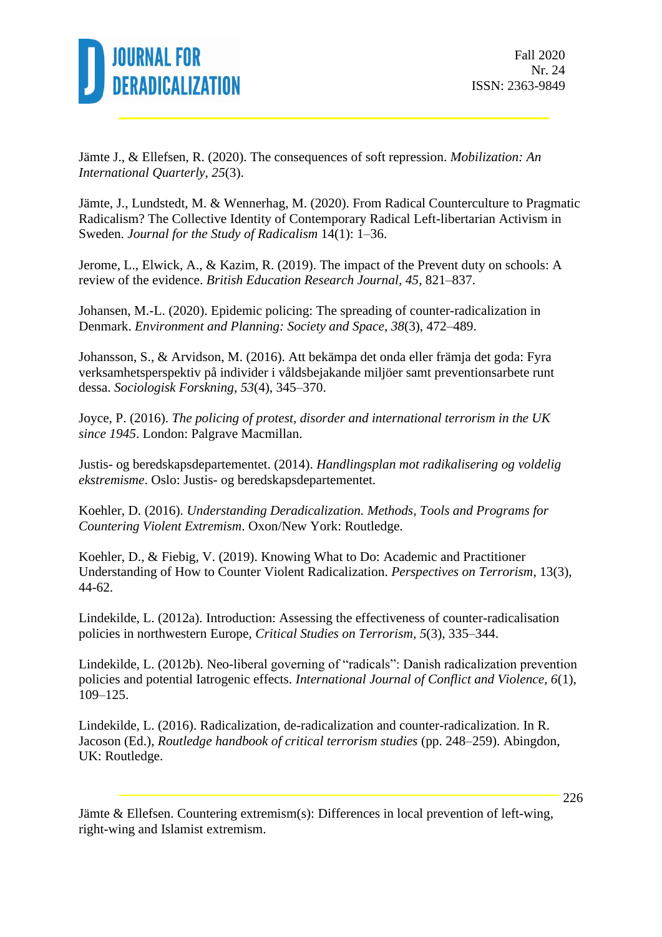

Jämte J., & Ellefsen, R. (2020). The consequences of soft repression. *Mobilization: An International Quarterly*, *25*(3).

Jämte, J., Lundstedt, M. & Wennerhag, M. (2020). From Radical Counterculture to Pragmatic Radicalism? The Collective Identity of Contemporary Radical Left-libertarian Activism in Sweden. *Journal for the Study of Radicalism* 14(1): 1–36.

Jerome, L., Elwick, A., & Kazim, R. (2019). The impact of the Prevent duty on schools: A review of the evidence. *British Education Research Journal, 45*, 821–837.

Johansen, M.-L. (2020). Epidemic policing: The spreading of counter-radicalization in Denmark. *Environment and Planning: Society and Space*, *38*(3), 472–489.

Johansson, S., & Arvidson, M. (2016). Att bekämpa det onda eller främja det goda: Fyra verksamhetsperspektiv på individer i våldsbejakande miljöer samt preventionsarbete runt dessa. *Sociologisk Forskning*, *53*(4), 345–370.

Joyce, P. (2016). *The policing of protest, disorder and international terrorism in the UK since 1945*. London: Palgrave Macmillan.

Justis- og beredskapsdepartementet. (2014). *Handlingsplan mot radikalisering og voldelig ekstremisme*. Oslo: Justis- og beredskapsdepartementet.

Koehler, D. (2016). *Understanding Deradicalization. Methods, Tools and Programs for Countering Violent Extremism*. Oxon/New York: Routledge.

Koehler, D., & Fiebig, V. (2019). Knowing What to Do: Academic and Practitioner Understanding of How to Counter Violent Radicalization. *Perspectives on Terrorism*, 13(3), 44-62.

Lindekilde, L. (2012a). Introduction: Assessing the effectiveness of counter-radicalisation policies in northwestern Europe, *Critical Studies on Terrorism, 5*(3), 335–344.

Lindekilde, L. (2012b). Neo-liberal governing of "radicals": Danish radicalization prevention policies and potential Iatrogenic effects. *International Journal of Conflict and Violence, 6*(1), 109–125.

Lindekilde, L. (2016). Radicalization, de-radicalization and counter-radicalization. In R. Jacoson (Ed.), *Routledge handbook of critical terrorism studies* (pp. 248–259). Abingdon, UK: Routledge.

Jämte & Ellefsen. Countering extremism(s): Differences in local prevention of left-wing, right-wing and Islamist extremism.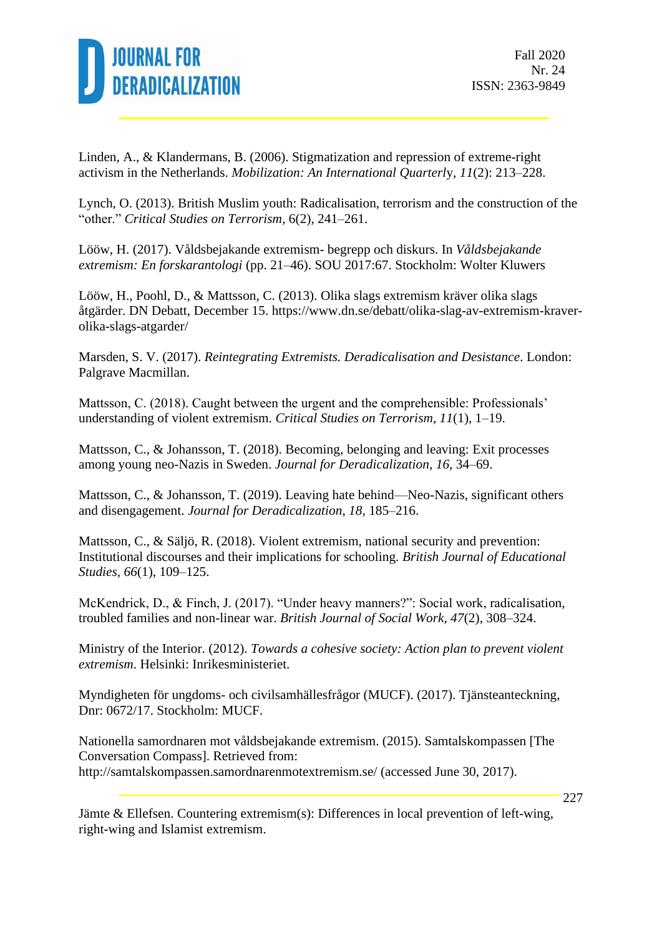

Linden, A., & Klandermans, B. (2006). Stigmatization and repression of extreme-right activism in the Netherlands. *Mobilization: An International Quarterl*y, *11*(2): 213–228.

Lynch, O. (2013). British Muslim youth: Radicalisation, terrorism and the construction of the "other." *Critical Studies on Terrorism*, 6(2), 241–261.

Lööw, H. (2017). Våldsbejakande extremism- begrepp och diskurs. In *Våldsbejakande extremism: En forskarantologi* (pp. 21–46). SOU 2017:67. Stockholm: Wolter Kluwers

Lööw, H., Poohl, D., & Mattsson, C. (2013). Olika slags extremism kräver olika slags åtgärder. DN Debatt, December 15. https://www.dn.se/debatt/olika-slag-av-extremism-kraverolika-slags-atgarder/

Marsden, S. V. (2017). *Reintegrating Extremists. Deradicalisation and Desistance*. London: Palgrave Macmillan.

Mattsson, C. (2018). Caught between the urgent and the comprehensible: Professionals' understanding of violent extremism. *Critical Studies on Terrorism, 11*(1), 1–19.

Mattsson, C., & Johansson, T. (2018). Becoming, belonging and leaving: Exit processes among young neo-Nazis in Sweden. *Journal for Deradicalization*, *16*, 34–69.

Mattsson, C., & Johansson, T. (2019). Leaving hate behind—Neo-Nazis, significant others and disengagement. *Journal for Deradicalization*, *18*, 185–216.

Mattsson, C., & Säljö, R. (2018). Violent extremism, national security and prevention: Institutional discourses and their implications for schooling. *British Journal of Educational Studies, 66*(1), 109–125.

McKendrick, D., & Finch, J. (2017). "Under heavy manners?": Social work, radicalisation, troubled families and non-linear war. *British Journal of Social Work, 47*(2), 308–324.

Ministry of the Interior. (2012). *Towards a cohesive society: Action plan to prevent violent extremism*. Helsinki: Inrikesministeriet.

Myndigheten för ungdoms- och civilsamhällesfrågor (MUCF). (2017). Tjänsteanteckning, Dnr: 0672/17. Stockholm: MUCF.

Nationella samordnaren mot våldsbejakande extremism. (2015). Samtalskompassen [The Conversation Compass]. Retrieved from: [http://samtalskompassen.samordnarenmotextremism.se/](http://samtalskompassen.samordnarenmotextremism.se/material/pdf/) (accessed June 30, 2017).

Jämte & Ellefsen. Countering extremism(s): Differences in local prevention of left-wing, right-wing and Islamist extremism.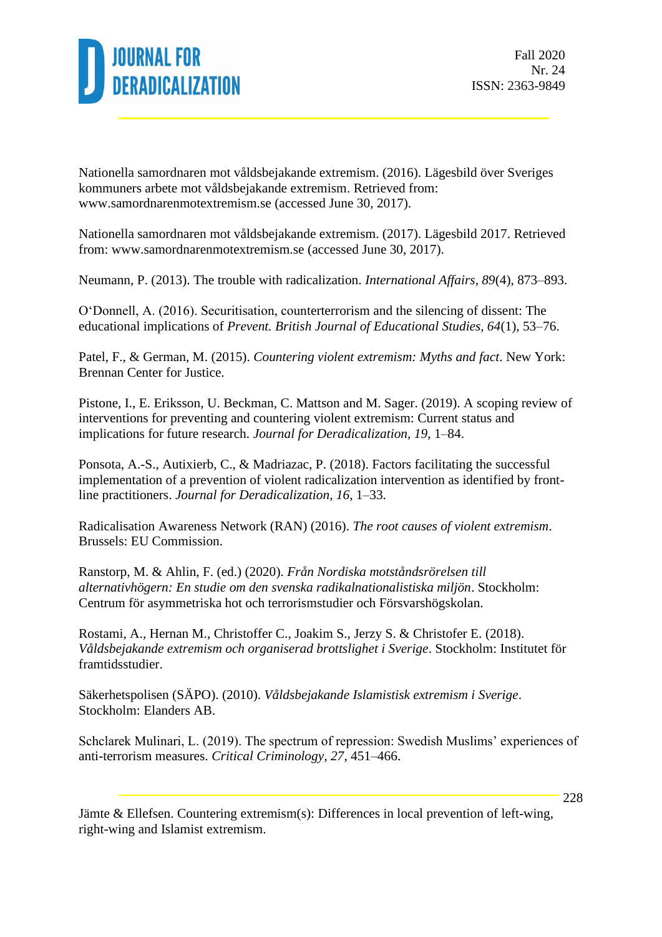

Nationella samordnaren mot våldsbejakande extremism. (2016). Lägesbild över Sveriges kommuners arbete mot våldsbejakande extremism. Retrieved from: [www.samordnarenmotextremism.se](http://www.samordnarenmotextremism.se/) (accessed June 30, 2017).

Nationella samordnaren mot våldsbejakande extremism. (2017). Lägesbild 2017. Retrieved from: [www.samordnarenmotextremism.se](http://www.samordnarenmotextremism.se/) (accessed June 30, 2017).

Neumann, P. (2013). The trouble with radicalization. *International Affairs, 89*(4), 873–893.

O'Donnell, A. (2016). Securitisation, counterterrorism and the silencing of dissent: The educational implications of *Prevent. British Journal of Educational Studies, 64*(1), 53–76.

Patel, F., & German, M. (2015). *Countering violent extremism: Myths and fact*. New York: Brennan Center for Justice.

Pistone, I., E. Eriksson, U. Beckman, C. Mattson and M. Sager. (2019). A scoping review of interventions for preventing and countering violent extremism: Current status and implications for future research. *Journal for Deradicalization, 19*, 1–84.

Ponsota, A.-S., Autixierb, C., & Madriazac, P. (2018). Factors facilitating the successful implementation of a prevention of violent radicalization intervention as identified by frontline practitioners. *Journal for Deradicalization, 16*, 1–33.

Radicalisation Awareness Network (RAN) (2016). *The root causes of violent extremism*. Brussels: EU Commission.

Ranstorp, M. & Ahlin, F. (ed.) (2020). *Från Nordiska motståndsrörelsen till alternativhögern: En studie om den svenska radikalnationalistiska miljön*. Stockholm: Centrum för asymmetriska hot och terrorismstudier och Försvarshögskolan.

Rostami, A., Hernan M., Christoffer C., Joakim S., Jerzy S. & Christofer E. (2018). *Våldsbejakande extremism och organiserad brottslighet i Sverige*. Stockholm: Institutet för framtidsstudier.

Säkerhetspolisen (SÄPO). (2010). *Våldsbejakande Islamistisk extremism i Sverige*. Stockholm: Elanders AB.

Schclarek Mulinari, L. (2019). The spectrum of repression: Swedish Muslims' experiences of anti-terrorism measures. *Critical Criminology, 27*, 451–466.

Jämte & Ellefsen. Countering extremism(s): Differences in local prevention of left-wing, right-wing and Islamist extremism.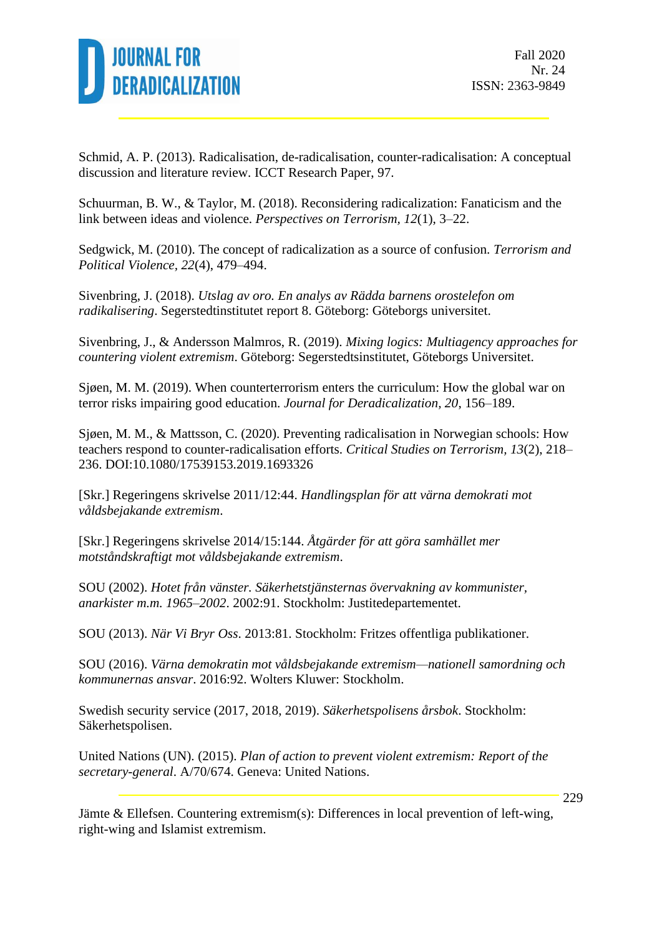

Schmid, A. P. (2013). Radicalisation, de-radicalisation, counter-radicalisation: A conceptual discussion and literature review. ICCT Research Paper, 97.

Schuurman, B. W., & Taylor, M. (2018). Reconsidering radicalization: Fanaticism and the link between ideas and violence. *Perspectives on Terrorism, 12*(1), 3–22.

Sedgwick, M. (2010). The concept of radicalization as a source of confusion. *Terrorism and Political Violence, 22*(4), 479–494.

Sivenbring, J. (2018). *Utslag av oro. En analys av Rädda barnens orostelefon om radikalisering*. Segerstedtinstitutet report 8. Göteborg: Göteborgs universitet.

Sivenbring, J., & Andersson Malmros, R. (2019). *Mixing logics: Multiagency approaches for countering violent extremism*. Göteborg: Segerstedtsinstitutet, Göteborgs Universitet.

Sjøen, M. M. (2019). When counterterrorism enters the curriculum: How the global war on terror risks impairing good education. *Journal for Deradicalization, 20*, 156–189.

Sjøen, M. M., & Mattsson, C. (2020). Preventing radicalisation in Norwegian schools: How teachers respond to counter-radicalisation efforts. *Critical Studies on Terrorism, 13*(2), 218– 236. DOI:10.1080/17539153.2019.1693326

[Skr.] Regeringens skrivelse 2011/12:44. *Handlingsplan för att värna demokrati mot våldsbejakande extremism*.

[Skr.] Regeringens skrivelse 2014/15:144. *Åtgärder för att göra samhället mer motståndskraftigt mot våldsbejakande extremism*.

SOU (2002). *Hotet från vänster. Säkerhetstjänsternas övervakning av kommunister, anarkister m.m. 1965–2002*. 2002:91. Stockholm: Justitedepartementet.

SOU (2013). *När Vi Bryr Oss*. 2013:81. Stockholm: Fritzes offentliga publikationer.

SOU (2016). *Värna demokratin mot våldsbejakande extremism—nationell samordning och kommunernas ansvar*. 2016:92. Wolters Kluwer: Stockholm.

Swedish security service (2017, 2018, 2019). *Säkerhetspolisens årsbok*. Stockholm: Säkerhetspolisen.

United Nations (UN). (2015). *Plan of action to prevent violent extremism: Report of the secretary-general*. A/70/674. Geneva: United Nations.

Jämte & Ellefsen. Countering extremism(s): Differences in local prevention of left-wing, right-wing and Islamist extremism.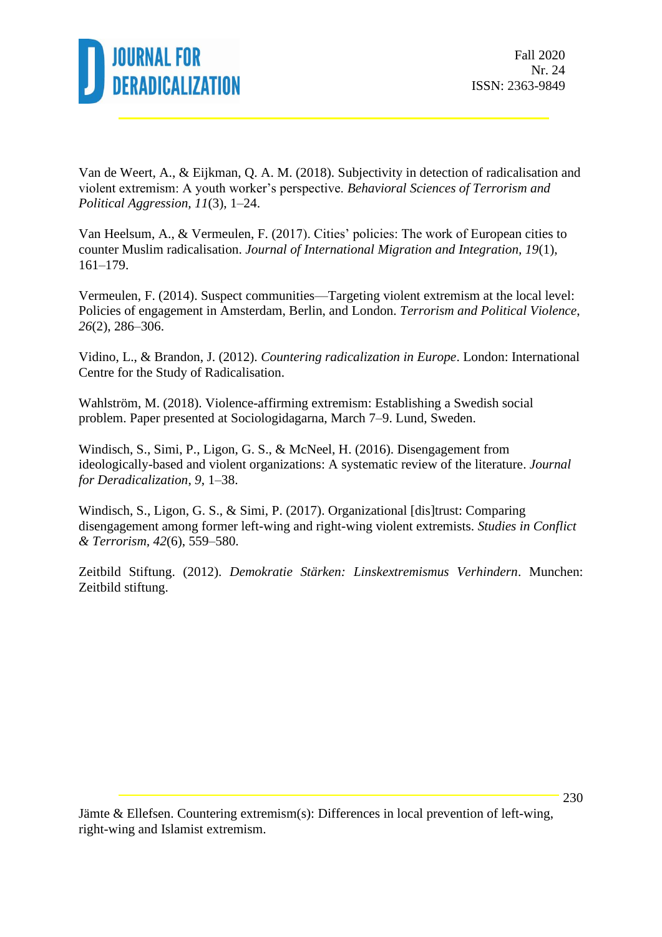

Van de Weert, A., & Eijkman, Q. A. M. (2018). Subjectivity in detection of radicalisation and violent extremism: A youth worker's perspective. *Behavioral Sciences of Terrorism and Political Aggression, 11*(3), 1–24.

Van Heelsum, A., & Vermeulen, F. (2017). Cities' policies: The work of European cities to counter Muslim radicalisation. *Journal of International Migration and Integration, 19*(1), 161–179.

Vermeulen, F. (2014). Suspect communities—Targeting violent extremism at the local level: Policies of engagement in Amsterdam, Berlin, and London. *Terrorism and Political Violence*, *26*(2), 286–306.

Vidino, L., & Brandon, J. (2012). *Countering radicalization in Europe*. London: International Centre for the Study of Radicalisation.

Wahlström, M. (2018). Violence-affirming extremism: Establishing a Swedish social problem. Paper presented at Sociologidagarna, March 7–9. Lund, Sweden.

Windisch, S., Simi, P., Ligon, G. S., & McNeel, H. (2016). Disengagement from ideologically-based and violent organizations: A systematic review of the literature. *Journal for Deradicalization*, *9*, 1–38.

Windisch, S., Ligon, G. S., & Simi, P. (2017). Organizational [dis]trust: Comparing disengagement among former left-wing and right-wing violent extremists. *Studies in Conflict & Terrorism, 42*(6), 559–580.

Zeitbild Stiftung. (2012). *Demokratie Stärken: Linskextremismus Verhindern*. Munchen: Zeitbild stiftung.

Jämte & Ellefsen. Countering extremism(s): Differences in local prevention of left-wing, right-wing and Islamist extremism.